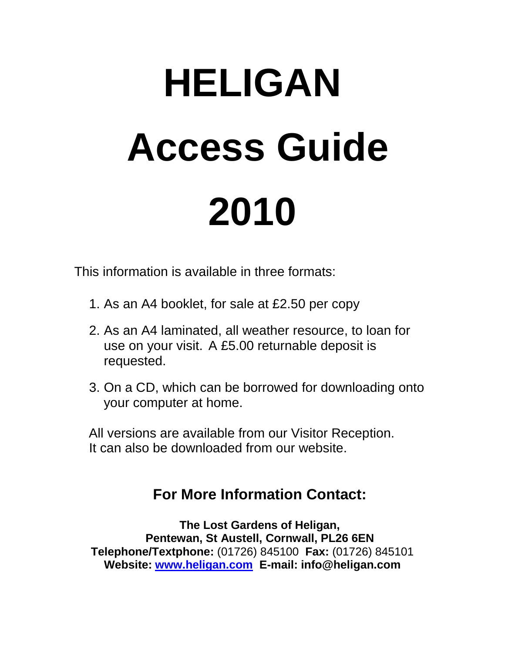# **HELIGAN Access Guide 2010**

This information is available in three formats:

- 1. As an A4 booklet, for sale at £2.50 per copy
- 2. As an A4 laminated, all weather resource, to loan for use on your visit. A £5.00 returnable deposit is requested.
- 3. On a CD, which can be borrowed for downloading onto your computer at home.

 All versions are available from our Visitor Reception. It can also be downloaded from our website.

# **For More Information Contact:**

**The Lost Gardens of Heligan, Pentewan, St Austell, Cornwall, PL26 6EN Telephone/Textphone:** (01726) 845100 **Fax:** (01726) 845101 **Website: [www.heligan.com](http://www.heligan.com/) E-mail: info@heligan.com**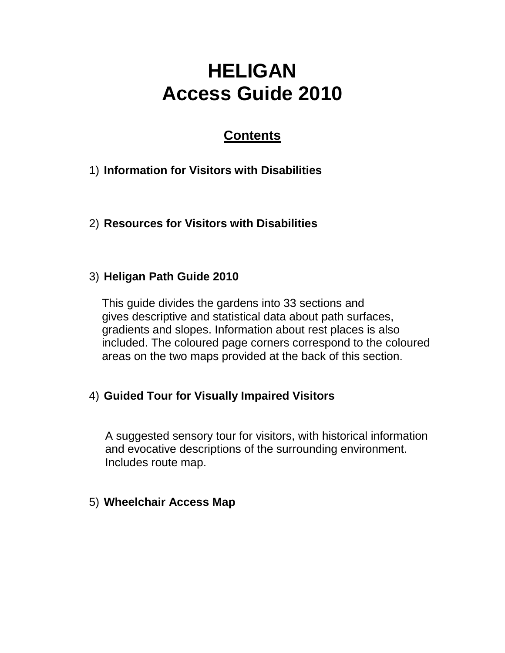# **HELIGAN Access Guide 2010**

#### **Contents**

- 1) **Information for Visitors with Disabilities**
- 2) **Resources for Visitors with Disabilities**

#### 3) **Heligan Path Guide 2010**

 This guide divides the gardens into 33 sections and gives descriptive and statistical data about path surfaces, gradients and slopes. Information about rest places is also included. The coloured page corners correspond to the coloured areas on the two maps provided at the back of this section.

#### 4) **Guided Tour for Visually Impaired Visitors**

 A suggested sensory tour for visitors, with historical information and evocative descriptions of the surrounding environment. Includes route map.

#### 5) **Wheelchair Access Map**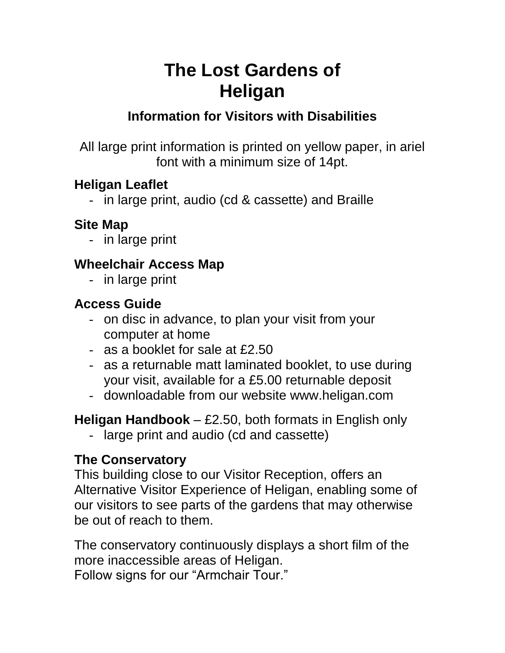# **The Lost Gardens of Heligan**

#### **Information for Visitors with Disabilities**

All large print information is printed on yellow paper, in ariel font with a minimum size of 14pt.

#### **Heligan Leaflet**

- in large print, audio (cd & cassette) and Braille

#### **Site Map**

- in large print

#### **Wheelchair Access Map**

- in large print

#### **Access Guide**

- on disc in advance, to plan your visit from your computer at home
- as a booklet for sale at £2.50
- as a returnable matt laminated booklet, to use during your visit, available for a £5.00 returnable deposit
- downloadable from our website www.heligan.com

**Heligan Handbook** – £2.50, both formats in English only

- large print and audio (cd and cassette)

#### **The Conservatory**

This building close to our Visitor Reception, offers an Alternative Visitor Experience of Heligan, enabling some of our visitors to see parts of the gardens that may otherwise be out of reach to them.

The conservatory continuously displays a short film of the more inaccessible areas of Heligan.

Follow signs for our "Armchair Tour."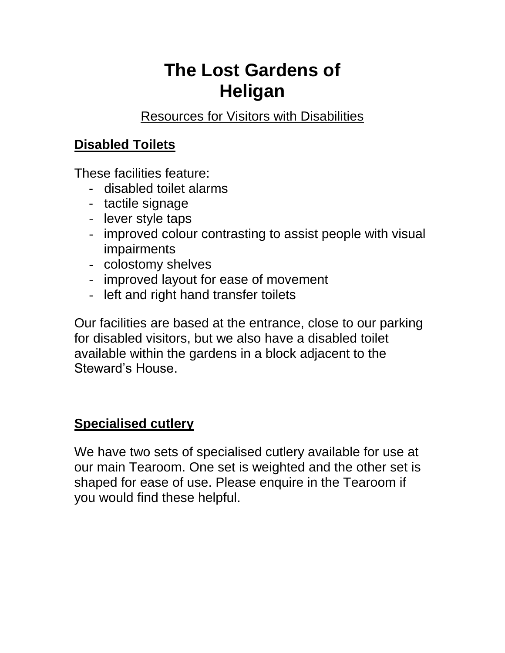# **The Lost Gardens of Heligan**

Resources for Visitors with Disabilities

#### **Disabled Toilets**

These facilities feature:

- disabled toilet alarms
- tactile signage
- lever style taps
- improved colour contrasting to assist people with visual impairments
- colostomy shelves
- improved layout for ease of movement
- left and right hand transfer toilets

Our facilities are based at the entrance, close to our parking for disabled visitors, but we also have a disabled toilet available within the gardens in a block adjacent to the Steward's House.

#### **Specialised cutlery**

We have two sets of specialised cutlery available for use at our main Tearoom. One set is weighted and the other set is shaped for ease of use. Please enquire in the Tearoom if you would find these helpful.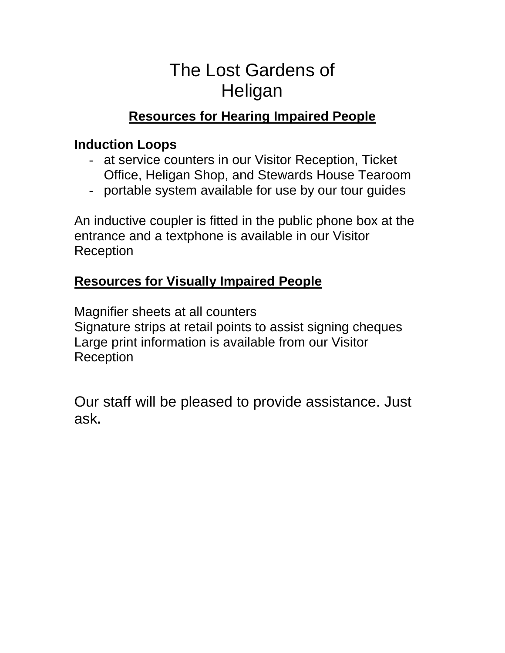# The Lost Gardens of **Heligan**

#### **Resources for Hearing Impaired People**

#### **Induction Loops**

- at service counters in our Visitor Reception, Ticket Office, Heligan Shop, and Stewards House Tearoom
- portable system available for use by our tour guides

An inductive coupler is fitted in the public phone box at the entrance and a textphone is available in our Visitor Reception

#### **Resources for Visually Impaired People**

Magnifier sheets at all counters Signature strips at retail points to assist signing cheques Large print information is available from our Visitor Reception

Our staff will be pleased to provide assistance. Just ask**.**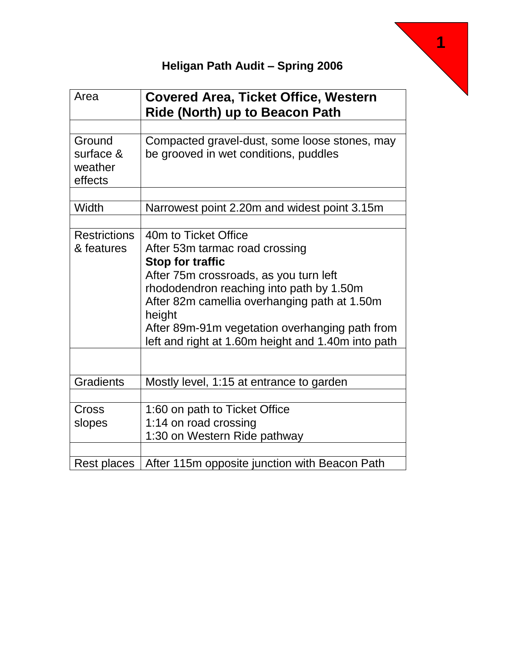

| Area                                      | <b>Covered Area, Ticket Office, Western</b><br><b>Ride (North) up to Beacon Path</b>                                                                                                                                                                                                                                                      |
|-------------------------------------------|-------------------------------------------------------------------------------------------------------------------------------------------------------------------------------------------------------------------------------------------------------------------------------------------------------------------------------------------|
|                                           |                                                                                                                                                                                                                                                                                                                                           |
| Ground<br>surface &<br>weather<br>effects | Compacted gravel-dust, some loose stones, may<br>be grooved in wet conditions, puddles                                                                                                                                                                                                                                                    |
| Width                                     | Narrowest point 2.20m and widest point 3.15m                                                                                                                                                                                                                                                                                              |
| <b>Restrictions</b><br>& features         | 40m to Ticket Office<br>After 53m tarmac road crossing<br><b>Stop for traffic</b><br>After 75m crossroads, as you turn left<br>rhododendron reaching into path by 1.50m<br>After 82m camellia overhanging path at 1.50m<br>height<br>After 89m-91m vegetation overhanging path from<br>left and right at 1.60m height and 1.40m into path |
| <b>Gradients</b>                          | Mostly level, 1:15 at entrance to garden                                                                                                                                                                                                                                                                                                  |
| Cross<br>slopes                           | 1:60 on path to Ticket Office<br>1:14 on road crossing<br>1:30 on Western Ride pathway                                                                                                                                                                                                                                                    |
| Rest places                               | After 115m opposite junction with Beacon Path                                                                                                                                                                                                                                                                                             |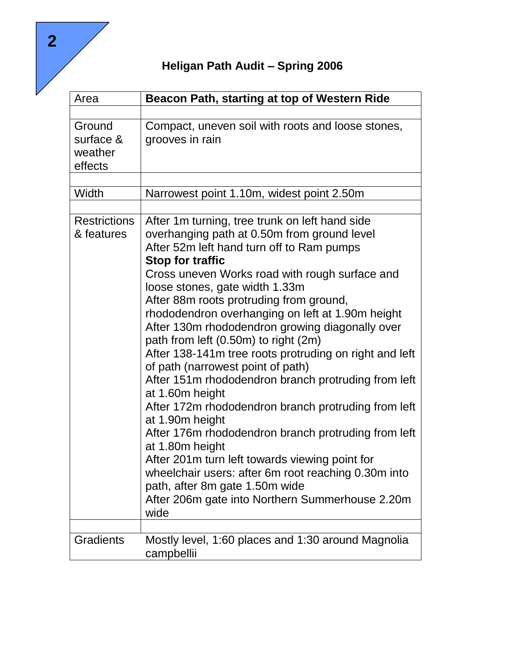**Heligan Path Audit – Spring 2006**

| Area                                      | Beacon Path, starting at top of Western Ride                                                                                                                                                                                                                                                                                                                                                                                                                                                                                                                                                                                                                                                                                                                                                                                                                                                                                                                                   |
|-------------------------------------------|--------------------------------------------------------------------------------------------------------------------------------------------------------------------------------------------------------------------------------------------------------------------------------------------------------------------------------------------------------------------------------------------------------------------------------------------------------------------------------------------------------------------------------------------------------------------------------------------------------------------------------------------------------------------------------------------------------------------------------------------------------------------------------------------------------------------------------------------------------------------------------------------------------------------------------------------------------------------------------|
|                                           |                                                                                                                                                                                                                                                                                                                                                                                                                                                                                                                                                                                                                                                                                                                                                                                                                                                                                                                                                                                |
| Ground<br>surface &<br>weather<br>effects | Compact, uneven soil with roots and loose stones,<br>grooves in rain                                                                                                                                                                                                                                                                                                                                                                                                                                                                                                                                                                                                                                                                                                                                                                                                                                                                                                           |
| Width                                     | Narrowest point 1.10m, widest point 2.50m                                                                                                                                                                                                                                                                                                                                                                                                                                                                                                                                                                                                                                                                                                                                                                                                                                                                                                                                      |
| <b>Restrictions</b>                       |                                                                                                                                                                                                                                                                                                                                                                                                                                                                                                                                                                                                                                                                                                                                                                                                                                                                                                                                                                                |
| & features                                | After 1m turning, tree trunk on left hand side<br>overhanging path at 0.50m from ground level<br>After 52m left hand turn off to Ram pumps<br><b>Stop for traffic</b><br>Cross uneven Works road with rough surface and<br>loose stones, gate width 1.33m<br>After 88m roots protruding from ground,<br>rhododendron overhanging on left at 1.90m height<br>After 130m rhododendron growing diagonally over<br>path from left (0.50m) to right (2m)<br>After 138-141m tree roots protruding on right and left<br>of path (narrowest point of path)<br>After 151m rhododendron branch protruding from left<br>at 1.60m height<br>After 172m rhododendron branch protruding from left<br>at 1.90m height<br>After 176m rhododendron branch protruding from left<br>at 1.80m height<br>After 201m turn left towards viewing point for<br>wheelchair users: after 6m root reaching 0.30m into<br>path, after 8m gate 1.50m wide<br>After 206m gate into Northern Summerhouse 2.20m |
|                                           | wide                                                                                                                                                                                                                                                                                                                                                                                                                                                                                                                                                                                                                                                                                                                                                                                                                                                                                                                                                                           |
| <b>Gradients</b>                          | Mostly level, 1:60 places and 1:30 around Magnolia<br>campbellii                                                                                                                                                                                                                                                                                                                                                                                                                                                                                                                                                                                                                                                                                                                                                                                                                                                                                                               |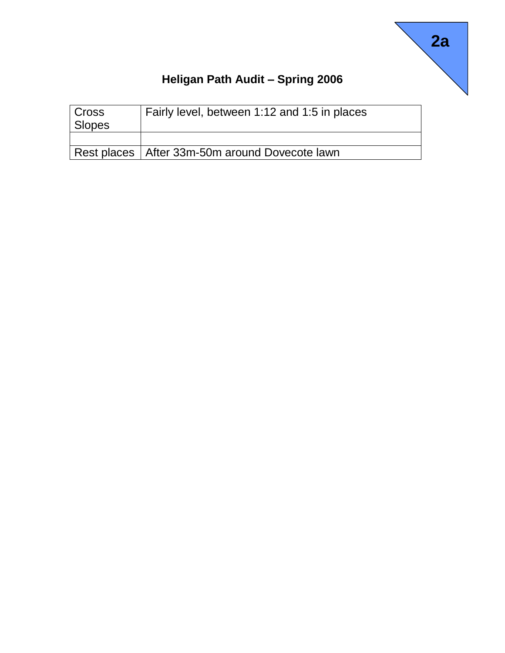

| Cross<br>Slopes | Fairly level, between 1:12 and 1:5 in places     |
|-----------------|--------------------------------------------------|
|                 |                                                  |
|                 | Rest places   After 33m-50m around Dovecote lawn |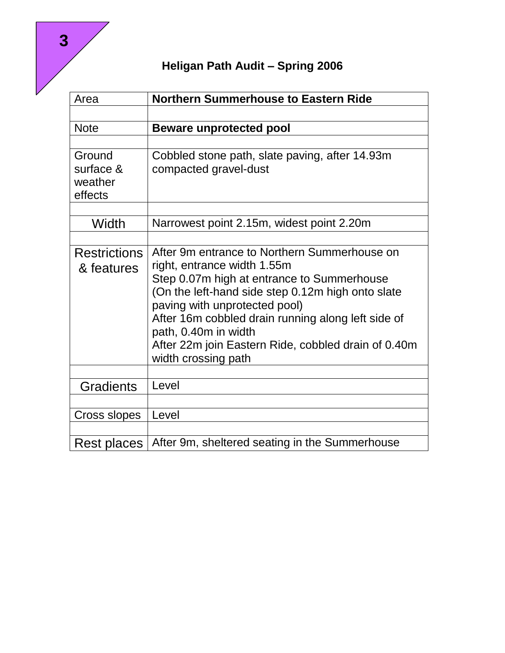| Area                 | <b>Northern Summerhouse to Eastern Ride</b>                                        |
|----------------------|------------------------------------------------------------------------------------|
|                      |                                                                                    |
| <b>Note</b>          | <b>Beware unprotected pool</b>                                                     |
|                      |                                                                                    |
| Ground               | Cobbled stone path, slate paving, after 14.93m                                     |
| surface &<br>weather | compacted gravel-dust                                                              |
| effects              |                                                                                    |
|                      |                                                                                    |
| Width                | Narrowest point 2.15m, widest point 2.20m                                          |
|                      |                                                                                    |
| <b>Restrictions</b>  | After 9m entrance to Northern Summerhouse on                                       |
| & features           | right, entrance width 1.55m                                                        |
|                      | Step 0.07m high at entrance to Summerhouse                                         |
|                      | (On the left-hand side step 0.12m high onto slate<br>paving with unprotected pool) |
|                      | After 16m cobbled drain running along left side of                                 |
|                      | path, 0.40m in width                                                               |
|                      | After 22m join Eastern Ride, cobbled drain of 0.40m<br>width crossing path         |
|                      |                                                                                    |
| <b>Gradients</b>     | Level                                                                              |
|                      |                                                                                    |
| Cross slopes         | Level                                                                              |
|                      |                                                                                    |
| Rest places          | After 9m, sheltered seating in the Summerhouse                                     |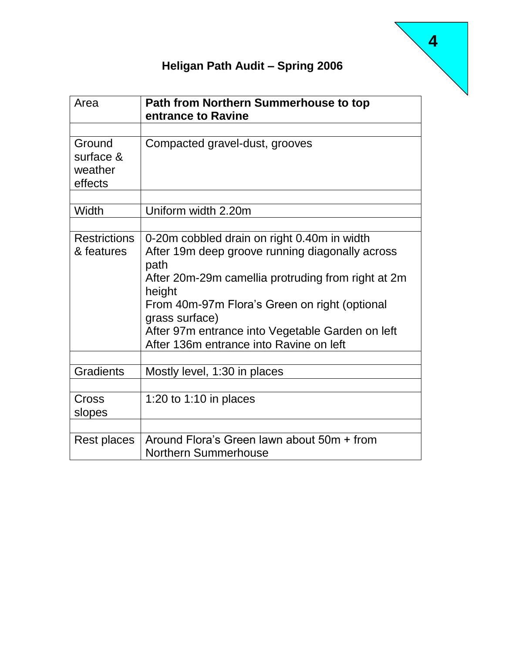| Area                                      | Path from Northern Summerhouse to top<br>entrance to Ravine                                                                                                                                                                                                                                                                              |
|-------------------------------------------|------------------------------------------------------------------------------------------------------------------------------------------------------------------------------------------------------------------------------------------------------------------------------------------------------------------------------------------|
|                                           |                                                                                                                                                                                                                                                                                                                                          |
| Ground<br>surface &<br>weather<br>effects | Compacted gravel-dust, grooves                                                                                                                                                                                                                                                                                                           |
| Width                                     | Uniform width 2.20m                                                                                                                                                                                                                                                                                                                      |
| <b>Restrictions</b><br>& features         | 0-20m cobbled drain on right 0.40m in width<br>After 19m deep groove running diagonally across<br>path<br>After 20m-29m camellia protruding from right at 2m<br>height<br>From 40m-97m Flora's Green on right (optional<br>grass surface)<br>After 97m entrance into Vegetable Garden on left<br>After 136m entrance into Ravine on left |
| <b>Gradients</b>                          | Mostly level, 1:30 in places                                                                                                                                                                                                                                                                                                             |
| Cross<br>slopes                           | 1:20 to 1:10 in places                                                                                                                                                                                                                                                                                                                   |
| Rest places                               | Around Flora's Green lawn about 50m + from<br><b>Northern Summerhouse</b>                                                                                                                                                                                                                                                                |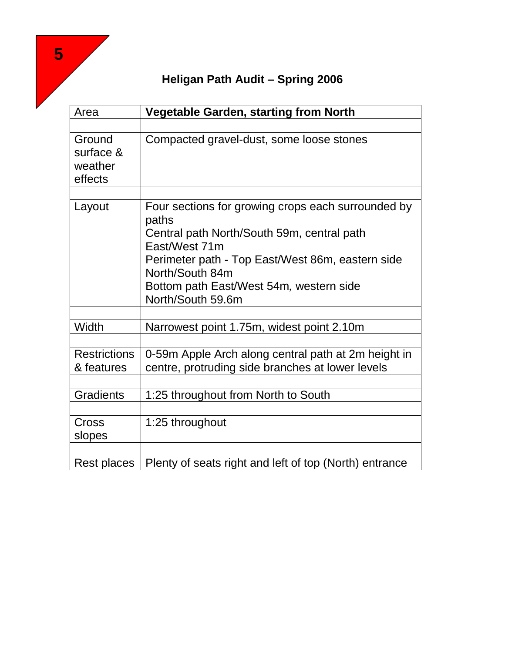|                                           | Heligan Path Audit – Spring 2006                                                                                                                                                                                                                                  |
|-------------------------------------------|-------------------------------------------------------------------------------------------------------------------------------------------------------------------------------------------------------------------------------------------------------------------|
| Area                                      | <b>Vegetable Garden, starting from North</b>                                                                                                                                                                                                                      |
| Ground<br>surface &<br>weather<br>effects | Compacted gravel-dust, some loose stones                                                                                                                                                                                                                          |
| Layout                                    | Four sections for growing crops each surrounded by<br>paths<br>Central path North/South 59m, central path<br>East/West 71m<br>Perimeter path - Top East/West 86m, eastern side<br>North/South 84m<br>Bottom path East/West 54m, western side<br>North/South 59.6m |
| Width                                     | Narrowest point 1.75m, widest point 2.10m                                                                                                                                                                                                                         |
| <b>Restrictions</b><br>& features         | 0-59m Apple Arch along central path at 2m height in<br>centre, protruding side branches at lower levels                                                                                                                                                           |
| <b>Gradients</b>                          | 1:25 throughout from North to South                                                                                                                                                                                                                               |
| Cross<br>slopes                           | 1:25 throughout                                                                                                                                                                                                                                                   |
| Rest places                               | Plenty of seats right and left of top (North) entrance                                                                                                                                                                                                            |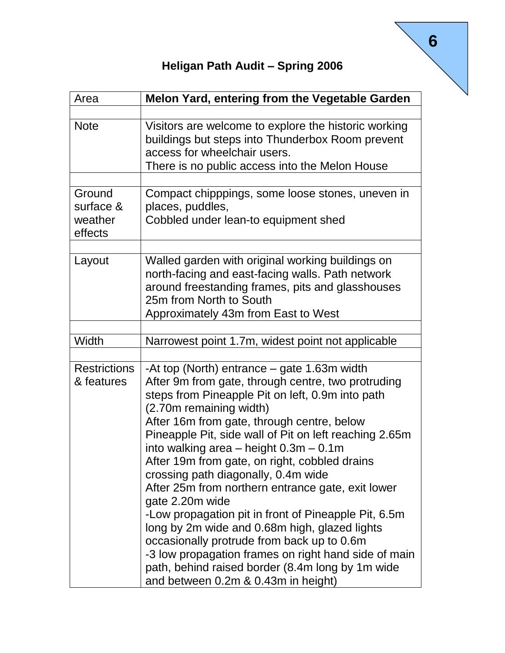| Area                                      | Melon Yard, entering from the Vegetable Garden                                                                                                                                                                                                                                                                                                                                                                                                                                                                                                                                                                                                                                                                                                                                                                   |
|-------------------------------------------|------------------------------------------------------------------------------------------------------------------------------------------------------------------------------------------------------------------------------------------------------------------------------------------------------------------------------------------------------------------------------------------------------------------------------------------------------------------------------------------------------------------------------------------------------------------------------------------------------------------------------------------------------------------------------------------------------------------------------------------------------------------------------------------------------------------|
|                                           |                                                                                                                                                                                                                                                                                                                                                                                                                                                                                                                                                                                                                                                                                                                                                                                                                  |
| <b>Note</b>                               | Visitors are welcome to explore the historic working<br>buildings but steps into Thunderbox Room prevent<br>access for wheelchair users.<br>There is no public access into the Melon House                                                                                                                                                                                                                                                                                                                                                                                                                                                                                                                                                                                                                       |
| Ground<br>surface &<br>weather<br>effects | Compact chipppings, some loose stones, uneven in<br>places, puddles,<br>Cobbled under lean-to equipment shed                                                                                                                                                                                                                                                                                                                                                                                                                                                                                                                                                                                                                                                                                                     |
| Layout                                    | Walled garden with original working buildings on<br>north-facing and east-facing walls. Path network<br>around freestanding frames, pits and glasshouses<br>25m from North to South<br>Approximately 43m from East to West                                                                                                                                                                                                                                                                                                                                                                                                                                                                                                                                                                                       |
|                                           |                                                                                                                                                                                                                                                                                                                                                                                                                                                                                                                                                                                                                                                                                                                                                                                                                  |
| Width                                     | Narrowest point 1.7m, widest point not applicable                                                                                                                                                                                                                                                                                                                                                                                                                                                                                                                                                                                                                                                                                                                                                                |
| <b>Restrictions</b><br>& features         | -At top (North) entrance – gate 1.63m width<br>After 9m from gate, through centre, two protruding<br>steps from Pineapple Pit on left, 0.9m into path<br>(2.70m remaining width)<br>After 16m from gate, through centre, below<br>Pineapple Pit, side wall of Pit on left reaching 2.65m<br>into walking area $-$ height $0.3m - 0.1m$<br>After 19m from gate, on right, cobbled drains<br>crossing path diagonally, 0.4m wide<br>After 25m from northern entrance gate, exit lower<br>gate 2.20m wide<br>-Low propagation pit in front of Pineapple Pit, 6.5m<br>long by 2m wide and 0.68m high, glazed lights<br>occasionally protrude from back up to 0.6m<br>-3 low propagation frames on right hand side of main<br>path, behind raised border (8.4m long by 1m wide<br>and between 0.2m & 0.43m in height) |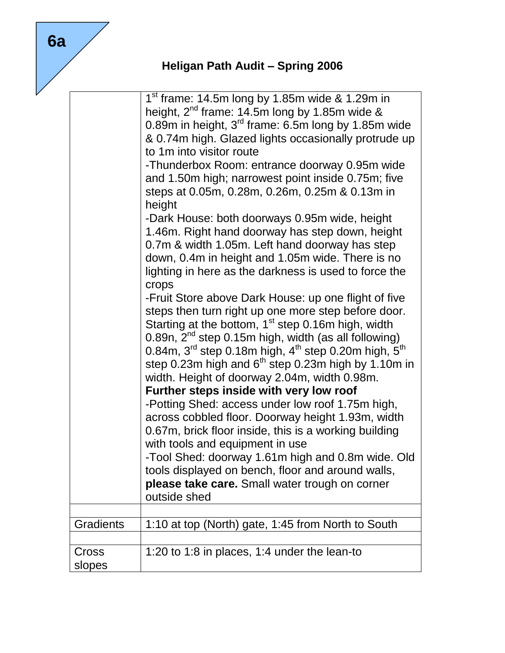|                  | $1st$ frame: 14.5m long by 1.85m wide & 1.29m in<br>height, $2^{nd}$ frame: 14.5m long by 1.85m wide & |
|------------------|--------------------------------------------------------------------------------------------------------|
|                  | 0.89m in height, $3rd$ frame: 6.5m long by 1.85m wide                                                  |
|                  | & 0.74m high. Glazed lights occasionally protrude up                                                   |
|                  | to 1m into visitor route                                                                               |
|                  | -Thunderbox Room: entrance doorway 0.95m wide                                                          |
|                  | and 1.50m high; narrowest point inside 0.75m; five                                                     |
|                  | steps at 0.05m, 0.28m, 0.26m, 0.25m & 0.13m in                                                         |
|                  | height                                                                                                 |
|                  | -Dark House: both doorways 0.95m wide, height                                                          |
|                  | 1.46m. Right hand doorway has step down, height                                                        |
|                  | 0.7m & width 1.05m. Left hand doorway has step                                                         |
|                  | down, 0.4m in height and 1.05m wide. There is no                                                       |
|                  | lighting in here as the darkness is used to force the                                                  |
|                  | crops                                                                                                  |
|                  | -Fruit Store above Dark House: up one flight of five                                                   |
|                  | steps then turn right up one more step before door.                                                    |
|                  | Starting at the bottom, $1st$ step 0.16m high, width                                                   |
|                  | 0.89n, $2nd$ step 0.15m high, width (as all following)                                                 |
|                  | 0.84m, 3 <sup>rd</sup> step 0.18m high, 4 <sup>th</sup> step 0.20m high, 5 <sup>th</sup>               |
|                  | step 0.23m high and $6th$ step 0.23m high by 1.10m in                                                  |
|                  | width. Height of doorway 2.04m, width 0.98m.                                                           |
|                  | Further steps inside with very low roof                                                                |
|                  | -Potting Shed: access under low roof 1.75m high,                                                       |
|                  | across cobbled floor. Doorway height 1.93m, width                                                      |
|                  | 0.67m, brick floor inside, this is a working building                                                  |
|                  | with tools and equipment in use                                                                        |
|                  | -Tool Shed: doorway 1.61m high and 0.8m wide. Old                                                      |
|                  | tools displayed on bench, floor and around walls,                                                      |
|                  | please take care. Small water trough on corner                                                         |
|                  | outside shed                                                                                           |
|                  |                                                                                                        |
| <b>Gradients</b> | 1:10 at top (North) gate, 1:45 from North to South                                                     |
| Cross            | 1:20 to 1:8 in places, 1:4 under the lean-to                                                           |
| slopes           |                                                                                                        |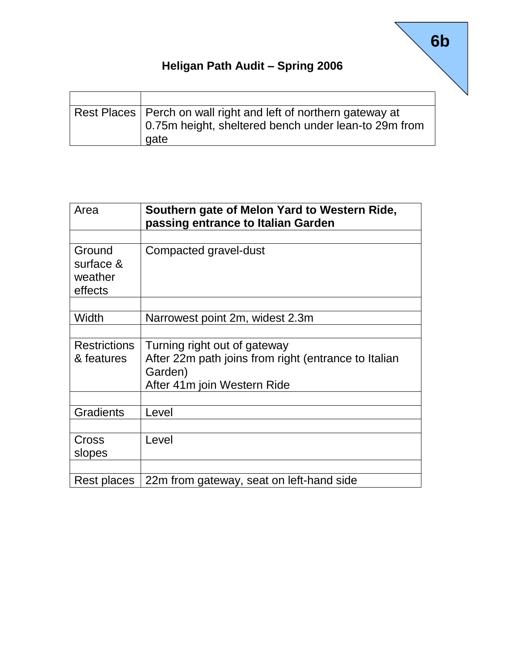| Rest Places   Perch on wall right and left of northern gateway at<br>0.75m height, sheltered bench under lean-to 29m from<br>gate |
|-----------------------------------------------------------------------------------------------------------------------------------|

| Area                                      | Southern gate of Melon Yard to Western Ride,<br>passing entrance to Italian Garden                                             |
|-------------------------------------------|--------------------------------------------------------------------------------------------------------------------------------|
| Ground<br>surface &<br>weather<br>effects | Compacted gravel-dust                                                                                                          |
| Width                                     | Narrowest point 2m, widest 2.3m                                                                                                |
| <b>Restrictions</b><br>& features         | Turning right out of gateway<br>After 22m path joins from right (entrance to Italian<br>Garden)<br>After 41m join Western Ride |
| <b>Gradients</b>                          | Level                                                                                                                          |
| Cross<br>slopes                           | Level                                                                                                                          |
| Rest places                               | 22m from gateway, seat on left-hand side                                                                                       |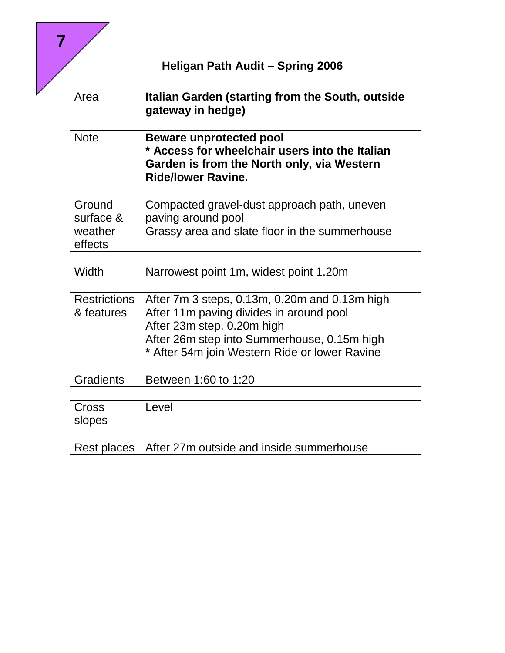| Area                              | Italian Garden (starting from the South, outside<br>gateway in hedge)                                                     |
|-----------------------------------|---------------------------------------------------------------------------------------------------------------------------|
|                                   |                                                                                                                           |
| <b>Note</b>                       | <b>Beware unprotected pool</b>                                                                                            |
|                                   | * Access for wheelchair users into the Italian<br>Garden is from the North only, via Western<br><b>Ride/lower Ravine.</b> |
|                                   |                                                                                                                           |
| Ground<br>surface &               | Compacted gravel-dust approach path, uneven<br>paving around pool                                                         |
| weather<br>effects                | Grassy area and slate floor in the summerhouse                                                                            |
|                                   |                                                                                                                           |
| Width                             | Narrowest point 1m, widest point 1.20m                                                                                    |
| <b>Restrictions</b><br>& features | After 7m 3 steps, 0.13m, 0.20m and 0.13m high<br>After 11m paving divides in around pool<br>After 23m step, 0.20m high    |
|                                   | After 26m step into Summerhouse, 0.15m high<br>* After 54m join Western Ride or lower Ravine                              |
|                                   |                                                                                                                           |
| <b>Gradients</b>                  | Between 1:60 to 1:20                                                                                                      |
| Cross<br>slopes                   | Level                                                                                                                     |
|                                   |                                                                                                                           |
| Rest places                       | After 27m outside and inside summerhouse                                                                                  |

 **7**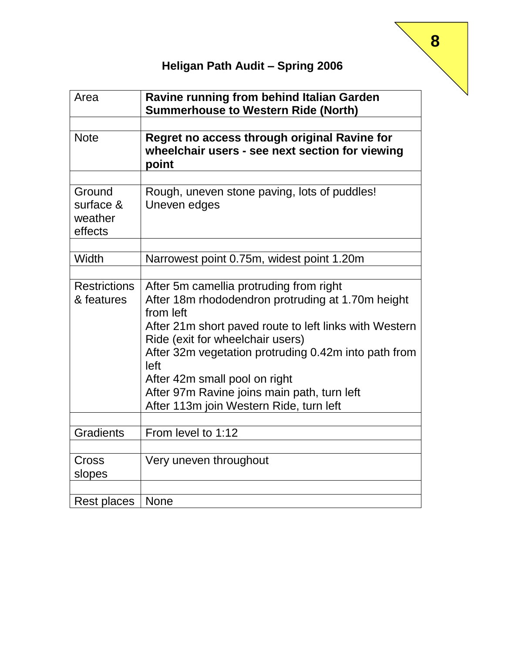| Area                                      | Ravine running from behind Italian Garden<br><b>Summerhouse to Western Ride (North)</b>                                                                                                                                                                                                                                                                                                            |
|-------------------------------------------|----------------------------------------------------------------------------------------------------------------------------------------------------------------------------------------------------------------------------------------------------------------------------------------------------------------------------------------------------------------------------------------------------|
| <b>Note</b>                               | Regret no access through original Ravine for<br>wheelchair users - see next section for viewing<br>point                                                                                                                                                                                                                                                                                           |
| Ground<br>surface &<br>weather<br>effects | Rough, uneven stone paving, lots of puddles!<br>Uneven edges                                                                                                                                                                                                                                                                                                                                       |
| Width                                     | Narrowest point 0.75m, widest point 1.20m                                                                                                                                                                                                                                                                                                                                                          |
| <b>Restrictions</b><br>& features         | After 5m camellia protruding from right<br>After 18m rhododendron protruding at 1.70m height<br>from left<br>After 21m short paved route to left links with Western<br>Ride (exit for wheelchair users)<br>After 32m vegetation protruding 0.42m into path from<br>left<br>After 42m small pool on right<br>After 97m Ravine joins main path, turn left<br>After 113m join Western Ride, turn left |
| <b>Gradients</b>                          | From level to 1:12                                                                                                                                                                                                                                                                                                                                                                                 |
| Cross<br>slopes                           | Very uneven throughout                                                                                                                                                                                                                                                                                                                                                                             |
| <b>Rest places</b>                        | <b>None</b>                                                                                                                                                                                                                                                                                                                                                                                        |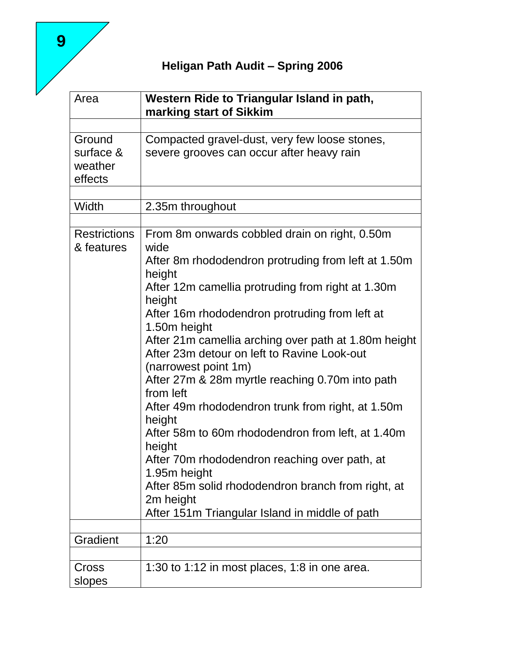| Area                              | Western Ride to Triangular Island in path,<br>marking start of Sikkim                                                       |
|-----------------------------------|-----------------------------------------------------------------------------------------------------------------------------|
|                                   |                                                                                                                             |
| Ground                            | Compacted gravel-dust, very few loose stones,                                                                               |
| surface &<br>weather<br>effects   | severe grooves can occur after heavy rain                                                                                   |
|                                   |                                                                                                                             |
| Width                             | 2.35m throughout                                                                                                            |
| <b>Restrictions</b><br>& features | From 8m onwards cobbled drain on right, 0.50m<br>wide                                                                       |
|                                   | After 8m rhododendron protruding from left at 1.50m<br>height                                                               |
|                                   | After 12m camellia protruding from right at 1.30m<br>height                                                                 |
|                                   | After 16m rhododendron protruding from left at<br>1.50m height                                                              |
|                                   | After 21m camellia arching over path at 1.80m height<br>After 23m detour on left to Ravine Look-out<br>(narrowest point 1m) |
|                                   | After 27m & 28m myrtle reaching 0.70m into path<br>from left                                                                |
|                                   | After 49m rhododendron trunk from right, at 1.50m<br>height                                                                 |
|                                   | After 58m to 60m rhododendron from left, at 1.40m<br>height                                                                 |
|                                   | After 70m rhododendron reaching over path, at<br>1.95m height                                                               |
|                                   | After 85m solid rhododendron branch from right, at<br>2m height                                                             |
|                                   | After 151m Triangular Island in middle of path                                                                              |
| Gradient                          | 1:20                                                                                                                        |
|                                   |                                                                                                                             |
| Cross<br>slopes                   | 1:30 to 1:12 in most places, 1:8 in one area.                                                                               |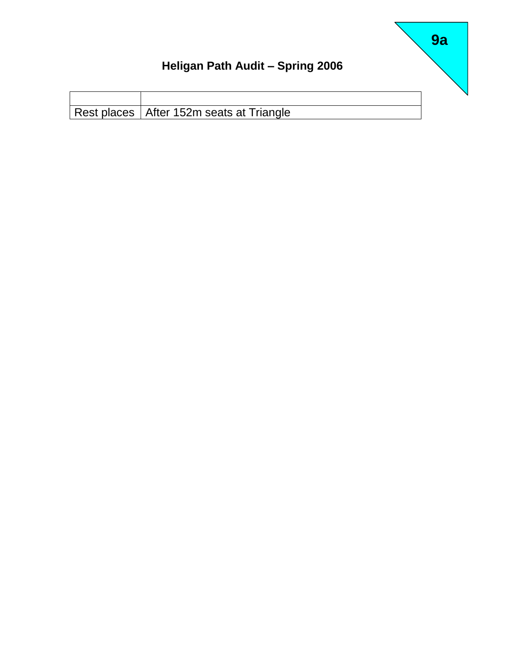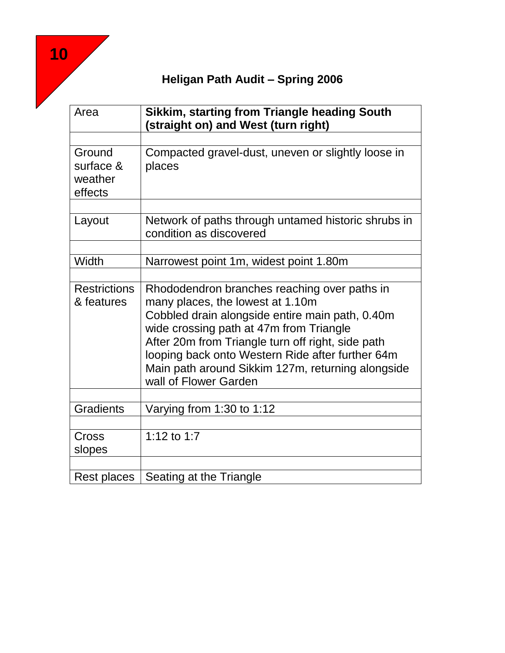| Area                                      | <b>Sikkim, starting from Triangle heading South</b><br>(straight on) and West (turn right)                                                                                                                                                                                                                                                                            |
|-------------------------------------------|-----------------------------------------------------------------------------------------------------------------------------------------------------------------------------------------------------------------------------------------------------------------------------------------------------------------------------------------------------------------------|
|                                           |                                                                                                                                                                                                                                                                                                                                                                       |
| Ground<br>surface &<br>weather<br>effects | Compacted gravel-dust, uneven or slightly loose in<br>places                                                                                                                                                                                                                                                                                                          |
| Layout                                    | Network of paths through untamed historic shrubs in<br>condition as discovered                                                                                                                                                                                                                                                                                        |
| Width                                     |                                                                                                                                                                                                                                                                                                                                                                       |
|                                           | Narrowest point 1m, widest point 1.80m                                                                                                                                                                                                                                                                                                                                |
| <b>Restrictions</b><br>& features         | Rhododendron branches reaching over paths in<br>many places, the lowest at 1.10m<br>Cobbled drain alongside entire main path, 0.40m<br>wide crossing path at 47m from Triangle<br>After 20m from Triangle turn off right, side path<br>looping back onto Western Ride after further 64m<br>Main path around Sikkim 127m, returning alongside<br>wall of Flower Garden |
| <b>Gradients</b>                          | Varying from 1:30 to 1:12                                                                                                                                                                                                                                                                                                                                             |
|                                           |                                                                                                                                                                                                                                                                                                                                                                       |
| Cross<br>slopes                           | 1:12 to 1:7                                                                                                                                                                                                                                                                                                                                                           |
| <b>Rest places</b>                        | Seating at the Triangle                                                                                                                                                                                                                                                                                                                                               |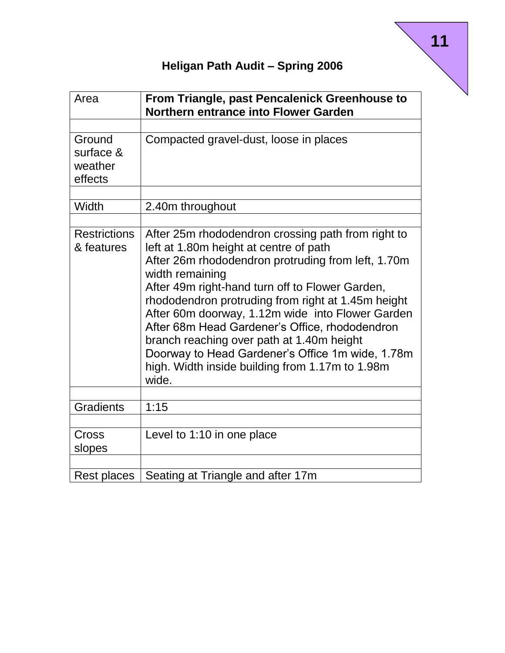| Area                                      | From Triangle, past Pencalenick Greenhouse to<br><b>Northern entrance into Flower Garden</b>                                                                                                                                                                                                                                                                                                                                                                                                                                                      |
|-------------------------------------------|---------------------------------------------------------------------------------------------------------------------------------------------------------------------------------------------------------------------------------------------------------------------------------------------------------------------------------------------------------------------------------------------------------------------------------------------------------------------------------------------------------------------------------------------------|
|                                           |                                                                                                                                                                                                                                                                                                                                                                                                                                                                                                                                                   |
| Ground<br>surface &<br>weather<br>effects | Compacted gravel-dust, loose in places                                                                                                                                                                                                                                                                                                                                                                                                                                                                                                            |
| Width                                     | 2.40m throughout                                                                                                                                                                                                                                                                                                                                                                                                                                                                                                                                  |
| <b>Restrictions</b><br>& features         | After 25m rhododendron crossing path from right to<br>left at 1.80m height at centre of path<br>After 26m rhododendron protruding from left, 1.70m<br>width remaining<br>After 49m right-hand turn off to Flower Garden,<br>rhododendron protruding from right at 1.45m height<br>After 60m doorway, 1.12m wide into Flower Garden<br>After 68m Head Gardener's Office, rhododendron<br>branch reaching over path at 1.40m height<br>Doorway to Head Gardener's Office 1m wide, 1.78m<br>high. Width inside building from 1.17m to 1.98m<br>wide. |
| <b>Gradients</b>                          | 1:15                                                                                                                                                                                                                                                                                                                                                                                                                                                                                                                                              |
|                                           |                                                                                                                                                                                                                                                                                                                                                                                                                                                                                                                                                   |
| Cross<br>slopes                           | Level to 1:10 in one place                                                                                                                                                                                                                                                                                                                                                                                                                                                                                                                        |
|                                           |                                                                                                                                                                                                                                                                                                                                                                                                                                                                                                                                                   |
| <b>Rest places</b>                        | Seating at Triangle and after 17m                                                                                                                                                                                                                                                                                                                                                                                                                                                                                                                 |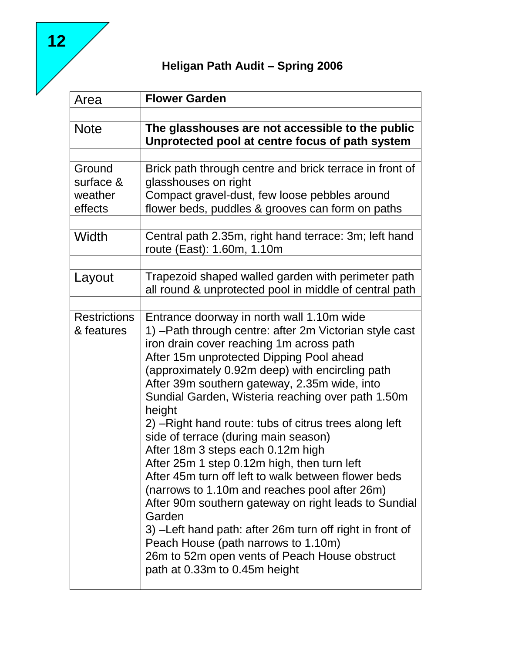| Area                                      | <b>Flower Garden</b>                                                                                                                                                                                                                                                                                                                                                                                                                                                                                                                                                                                                                                                                                                                                                                                                                                                                                                 |
|-------------------------------------------|----------------------------------------------------------------------------------------------------------------------------------------------------------------------------------------------------------------------------------------------------------------------------------------------------------------------------------------------------------------------------------------------------------------------------------------------------------------------------------------------------------------------------------------------------------------------------------------------------------------------------------------------------------------------------------------------------------------------------------------------------------------------------------------------------------------------------------------------------------------------------------------------------------------------|
| <b>Note</b>                               | The glasshouses are not accessible to the public<br>Unprotected pool at centre focus of path system                                                                                                                                                                                                                                                                                                                                                                                                                                                                                                                                                                                                                                                                                                                                                                                                                  |
| Ground<br>surface &<br>weather<br>effects | Brick path through centre and brick terrace in front of<br>glasshouses on right<br>Compact gravel-dust, few loose pebbles around<br>flower beds, puddles & grooves can form on paths                                                                                                                                                                                                                                                                                                                                                                                                                                                                                                                                                                                                                                                                                                                                 |
| Width                                     | Central path 2.35m, right hand terrace: 3m; left hand<br>route (East): 1.60m, 1.10m                                                                                                                                                                                                                                                                                                                                                                                                                                                                                                                                                                                                                                                                                                                                                                                                                                  |
| Layout                                    | Trapezoid shaped walled garden with perimeter path<br>all round & unprotected pool in middle of central path                                                                                                                                                                                                                                                                                                                                                                                                                                                                                                                                                                                                                                                                                                                                                                                                         |
| <b>Restrictions</b><br>& features         | Entrance doorway in north wall 1.10m wide<br>1) - Path through centre: after 2m Victorian style cast<br>iron drain cover reaching 1m across path<br>After 15m unprotected Dipping Pool ahead<br>(approximately 0.92m deep) with encircling path<br>After 39m southern gateway, 2.35m wide, into<br>Sundial Garden, Wisteria reaching over path 1.50m<br>height<br>2) – Right hand route: tubs of citrus trees along left<br>side of terrace (during main season)<br>After 18m 3 steps each 0.12m high<br>After 25m 1 step 0.12m high, then turn left<br>After 45m turn off left to walk between flower beds<br>(narrows to 1.10m and reaches pool after 26m)<br>After 90m southern gateway on right leads to Sundial<br>Garden<br>3) – Left hand path: after 26m turn off right in front of<br>Peach House (path narrows to 1.10m)<br>26m to 52m open vents of Peach House obstruct<br>path at 0.33m to 0.45m height |

**12**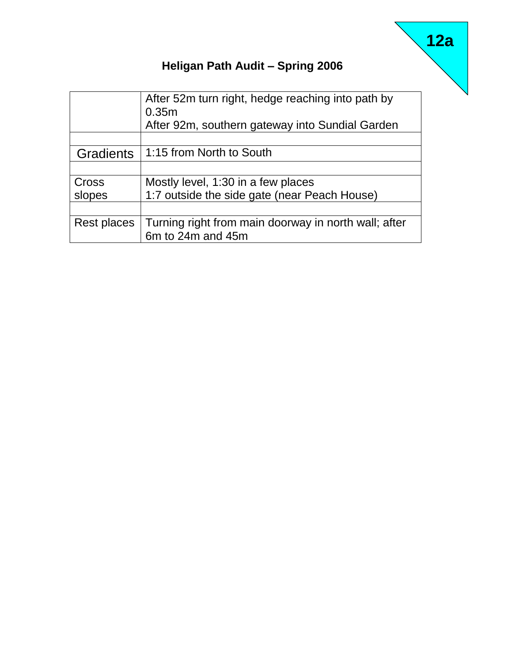|                  | After 52m turn right, hedge reaching into path by<br>0.35m<br>After 92m, southern gateway into Sundial Garden |
|------------------|---------------------------------------------------------------------------------------------------------------|
| <b>Gradients</b> | 1:15 from North to South                                                                                      |
|                  |                                                                                                               |
| Cross            | Mostly level, 1:30 in a few places                                                                            |
| slopes           | 1:7 outside the side gate (near Peach House)                                                                  |
|                  |                                                                                                               |
| Rest places      | Turning right from main doorway in north wall; after<br>6m to 24m and 45m                                     |

# **12a**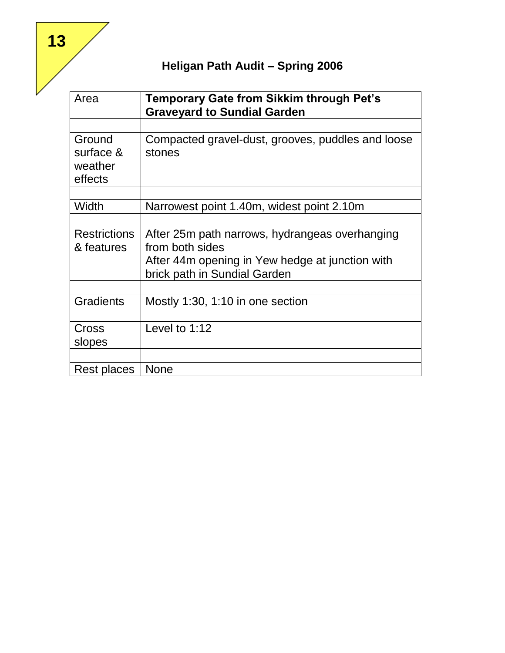| Area                                      | Temporary Gate from Sikkim through Pet's<br><b>Graveyard to Sundial Garden</b>  |
|-------------------------------------------|---------------------------------------------------------------------------------|
|                                           |                                                                                 |
| Ground<br>surface &<br>weather<br>effects | Compacted gravel-dust, grooves, puddles and loose<br>stones                     |
|                                           |                                                                                 |
| Width                                     | Narrowest point 1.40m, widest point 2.10m                                       |
|                                           |                                                                                 |
| <b>Restrictions</b><br>& features         | After 25m path narrows, hydrangeas overhanging<br>from both sides               |
|                                           | After 44m opening in Yew hedge at junction with<br>brick path in Sundial Garden |
|                                           |                                                                                 |
| <b>Gradients</b>                          | Mostly 1:30, 1:10 in one section                                                |
|                                           |                                                                                 |
| Cross                                     | Level to $1:12$                                                                 |
| slopes                                    |                                                                                 |
|                                           |                                                                                 |
| Rest places                               | <b>None</b>                                                                     |

**13**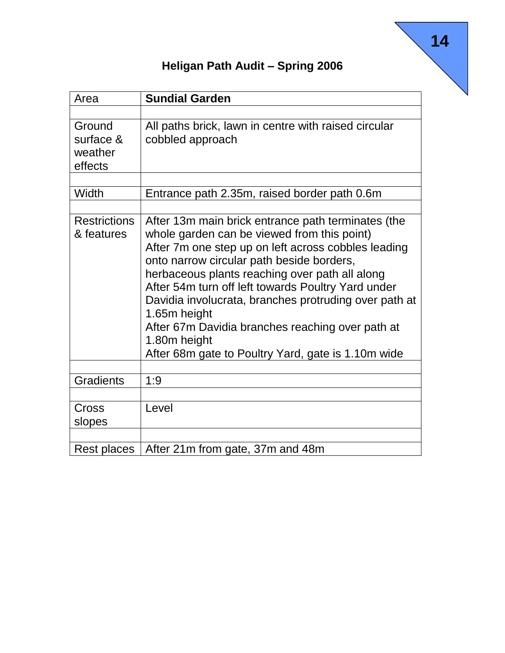| Area                                      | <b>Sundial Garden</b>                                                                                                                                                                                                                                                                                                                                                                                                                                                                                            |
|-------------------------------------------|------------------------------------------------------------------------------------------------------------------------------------------------------------------------------------------------------------------------------------------------------------------------------------------------------------------------------------------------------------------------------------------------------------------------------------------------------------------------------------------------------------------|
|                                           |                                                                                                                                                                                                                                                                                                                                                                                                                                                                                                                  |
| Ground<br>surface &<br>weather<br>effects | All paths brick, lawn in centre with raised circular<br>cobbled approach                                                                                                                                                                                                                                                                                                                                                                                                                                         |
| Width                                     | Entrance path 2.35m, raised border path 0.6m                                                                                                                                                                                                                                                                                                                                                                                                                                                                     |
| <b>Restrictions</b><br>& features         | After 13m main brick entrance path terminates (the<br>whole garden can be viewed from this point)<br>After 7m one step up on left across cobbles leading<br>onto narrow circular path beside borders,<br>herbaceous plants reaching over path all along<br>After 54m turn off left towards Poultry Yard under<br>Davidia involucrata, branches protruding over path at<br>1.65m height<br>After 67m Davidia branches reaching over path at<br>1.80m height<br>After 68m gate to Poultry Yard, gate is 1.10m wide |
| <b>Gradients</b>                          | 1:9                                                                                                                                                                                                                                                                                                                                                                                                                                                                                                              |
| Cross<br>slopes                           | Level                                                                                                                                                                                                                                                                                                                                                                                                                                                                                                            |
| Rest places                               | After 21m from gate, 37m and 48m                                                                                                                                                                                                                                                                                                                                                                                                                                                                                 |

e<br>Notes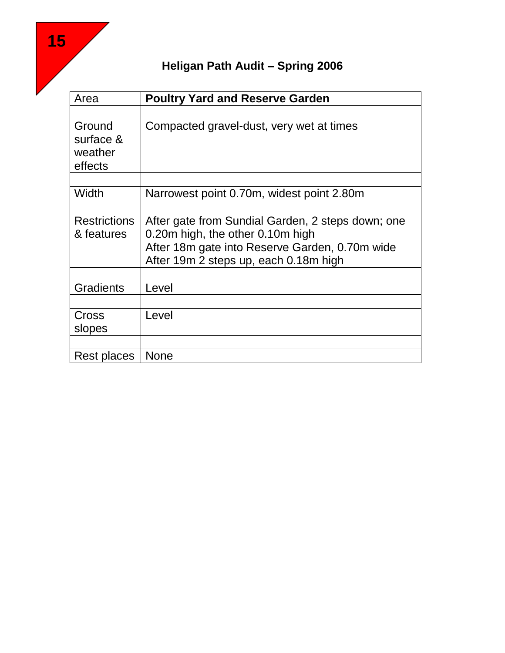| Area                | <b>Poultry Yard and Reserve Garden</b>            |
|---------------------|---------------------------------------------------|
|                     |                                                   |
| Ground              | Compacted gravel-dust, very wet at times          |
| surface &           |                                                   |
| weather             |                                                   |
| effects             |                                                   |
|                     |                                                   |
| Width               | Narrowest point 0.70m, widest point 2.80m         |
|                     |                                                   |
| <b>Restrictions</b> | After gate from Sundial Garden, 2 steps down; one |
| & features          | 0.20m high, the other 0.10m high                  |
|                     | After 18m gate into Reserve Garden, 0.70m wide    |
|                     | After 19m 2 steps up, each 0.18m high             |
| <b>Gradients</b>    | Level                                             |
|                     |                                                   |
| Cross               | Level                                             |
| slopes              |                                                   |
|                     |                                                   |
| Rest places         | <b>None</b>                                       |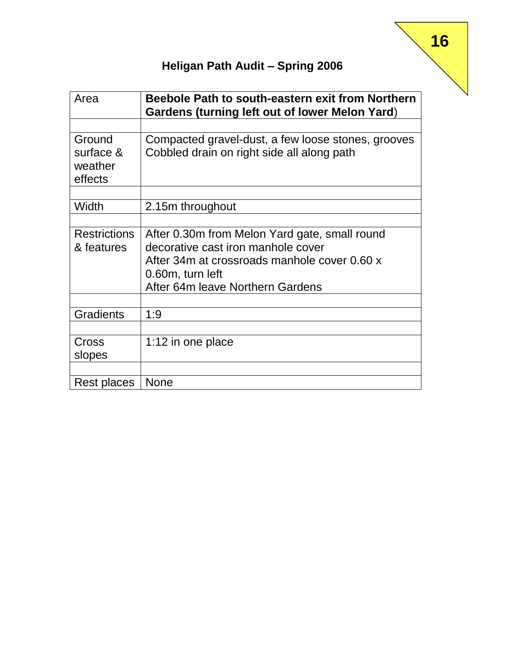| Area                                      | Beebole Path to south-eastern exit from Northern<br>Gardens (turning left out of lower Melon Yard)                                                                                          |
|-------------------------------------------|---------------------------------------------------------------------------------------------------------------------------------------------------------------------------------------------|
| Ground<br>surface &<br>weather<br>effects | Compacted gravel-dust, a few loose stones, grooves<br>Cobbled drain on right side all along path                                                                                            |
| Width                                     | 2.15m throughout                                                                                                                                                                            |
| <b>Restrictions</b><br>& features         | After 0.30m from Melon Yard gate, small round<br>decorative cast iron manhole cover<br>After 34m at crossroads manhole cover 0.60 x<br>0.60m, turn left<br>After 64m leave Northern Gardens |
| <b>Gradients</b>                          | 1:9                                                                                                                                                                                         |
| Cross<br>slopes                           | 1:12 in one place                                                                                                                                                                           |
| Rest places                               | <b>None</b>                                                                                                                                                                                 |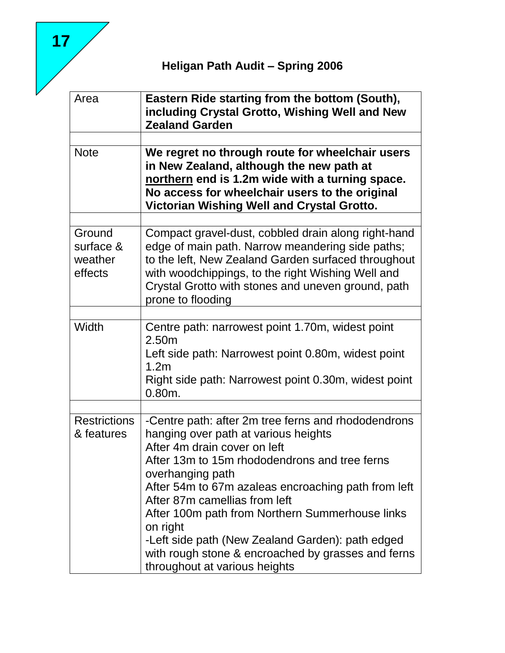| Area                                      | Eastern Ride starting from the bottom (South),<br>including Crystal Grotto, Wishing Well and New<br><b>Zealand Garden</b>                                                                                                                                                                                                                                                                                                                                                                          |
|-------------------------------------------|----------------------------------------------------------------------------------------------------------------------------------------------------------------------------------------------------------------------------------------------------------------------------------------------------------------------------------------------------------------------------------------------------------------------------------------------------------------------------------------------------|
| <b>Note</b>                               | We regret no through route for wheelchair users<br>in New Zealand, although the new path at<br>northern end is 1.2m wide with a turning space.<br>No access for wheelchair users to the original<br>Victorian Wishing Well and Crystal Grotto.                                                                                                                                                                                                                                                     |
| Ground<br>surface &<br>weather<br>effects | Compact gravel-dust, cobbled drain along right-hand<br>edge of main path. Narrow meandering side paths;<br>to the left, New Zealand Garden surfaced throughout<br>with woodchippings, to the right Wishing Well and<br>Crystal Grotto with stones and uneven ground, path<br>prone to flooding                                                                                                                                                                                                     |
| Width                                     | Centre path: narrowest point 1.70m, widest point<br>2.50m<br>Left side path: Narrowest point 0.80m, widest point<br>1.2 <sub>m</sub><br>Right side path: Narrowest point 0.30m, widest point<br>$0.80m$ .                                                                                                                                                                                                                                                                                          |
| <b>Restrictions</b><br>& features         | -Centre path: after 2m tree ferns and rhododendrons<br>hanging over path at various heights<br>After 4m drain cover on left<br>After 13m to 15m rhododendrons and tree ferns<br>overhanging path<br>After 54m to 67m azaleas encroaching path from left<br>After 87m camellias from left<br>After 100m path from Northern Summerhouse links<br>on right<br>-Left side path (New Zealand Garden): path edged<br>with rough stone & encroached by grasses and ferns<br>throughout at various heights |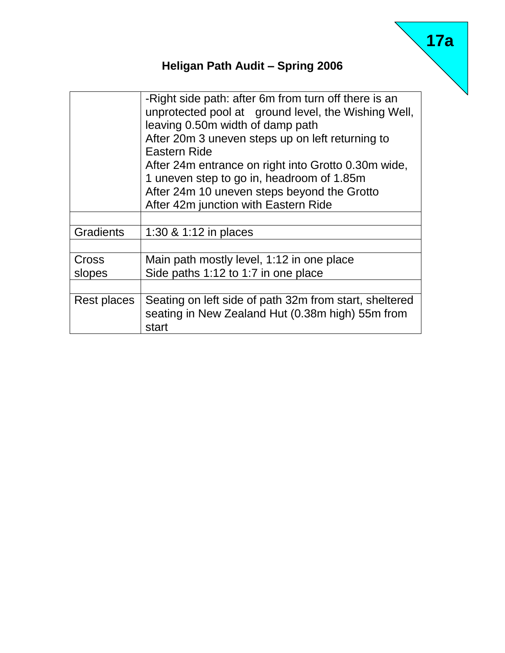|                  | -Right side path: after 6m from turn off there is an<br>unprotected pool at ground level, the Wishing Well,<br>leaving 0.50m width of damp path<br>After 20m 3 uneven steps up on left returning to<br>Eastern Ride<br>After 24m entrance on right into Grotto 0.30m wide,<br>1 uneven step to go in, headroom of 1.85m<br>After 24m 10 uneven steps beyond the Grotto |
|------------------|------------------------------------------------------------------------------------------------------------------------------------------------------------------------------------------------------------------------------------------------------------------------------------------------------------------------------------------------------------------------|
|                  | After 42m junction with Eastern Ride                                                                                                                                                                                                                                                                                                                                   |
| <b>Gradients</b> | 1:30 & 1:12 in places                                                                                                                                                                                                                                                                                                                                                  |
| Cross<br>slopes  | Main path mostly level, 1:12 in one place<br>Side paths 1:12 to 1:7 in one place                                                                                                                                                                                                                                                                                       |
| Rest places      | Seating on left side of path 32m from start, sheltered<br>seating in New Zealand Hut (0.38m high) 55m from<br>start                                                                                                                                                                                                                                                    |

# **17a**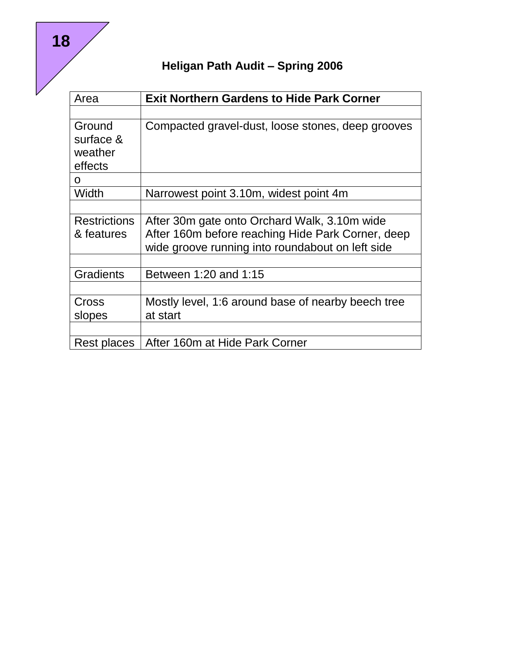| Area                | <b>Exit Northern Gardens to Hide Park Corner</b>   |
|---------------------|----------------------------------------------------|
|                     |                                                    |
| Ground              | Compacted gravel-dust, loose stones, deep grooves  |
| surface &           |                                                    |
| weather             |                                                    |
| effects             |                                                    |
| O                   |                                                    |
| Width               | Narrowest point 3.10m, widest point 4m             |
|                     |                                                    |
| <b>Restrictions</b> | After 30m gate onto Orchard Walk, 3.10m wide       |
| & features          | After 160m before reaching Hide Park Corner, deep  |
|                     | wide groove running into roundabout on left side   |
|                     |                                                    |
| <b>Gradients</b>    | Between 1:20 and 1:15                              |
|                     |                                                    |
| Cross               | Mostly level, 1:6 around base of nearby beech tree |
| slopes              | at start                                           |
|                     |                                                    |
| Rest places         | After 160m at Hide Park Corner                     |

**18**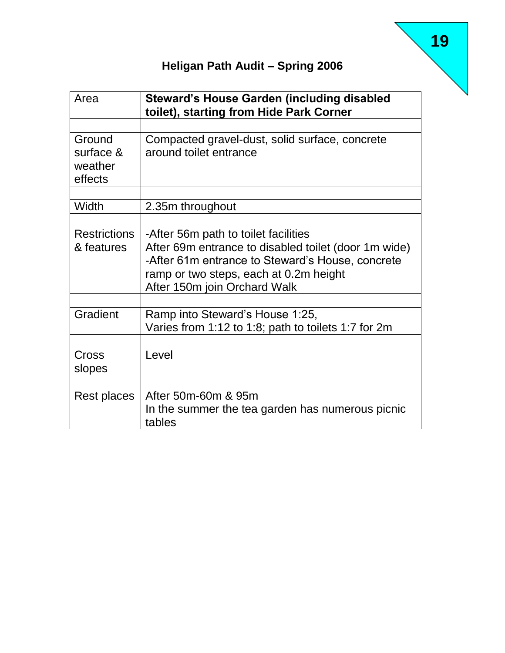| Area                                      | <b>Steward's House Garden (including disabled</b><br>toilet), starting from Hide Park Corner                                                                                                                               |
|-------------------------------------------|----------------------------------------------------------------------------------------------------------------------------------------------------------------------------------------------------------------------------|
|                                           |                                                                                                                                                                                                                            |
| Ground<br>surface &<br>weather<br>effects | Compacted gravel-dust, solid surface, concrete<br>around toilet entrance                                                                                                                                                   |
| Width                                     | 2.35m throughout                                                                                                                                                                                                           |
|                                           |                                                                                                                                                                                                                            |
| <b>Restrictions</b><br>& features         | -After 56m path to toilet facilities<br>After 69m entrance to disabled toilet (door 1m wide)<br>-After 61m entrance to Steward's House, concrete<br>ramp or two steps, each at 0.2m height<br>After 150m join Orchard Walk |
| Gradient                                  | Ramp into Steward's House 1:25,<br>Varies from 1:12 to 1:8; path to toilets 1:7 for 2m                                                                                                                                     |
| Cross<br>slopes                           | Level                                                                                                                                                                                                                      |
| Rest places                               | After 50m-60m & 95m<br>In the summer the tea garden has numerous picnic<br>tables                                                                                                                                          |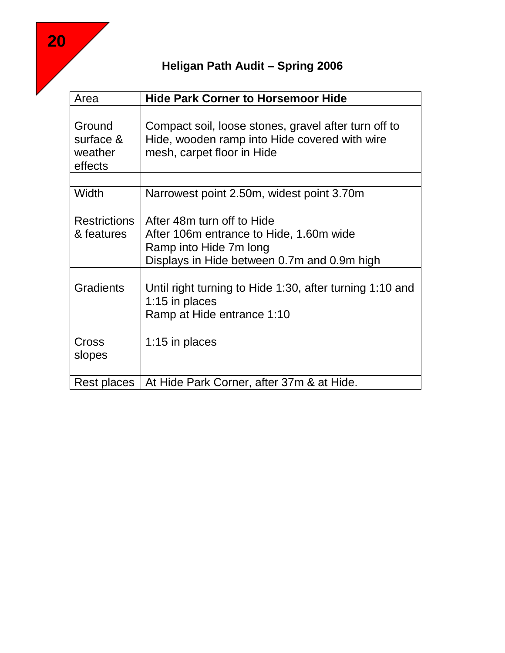| Area                                      | <b>Hide Park Corner to Horsemoor Hide</b>                                                                                                      |
|-------------------------------------------|------------------------------------------------------------------------------------------------------------------------------------------------|
|                                           |                                                                                                                                                |
| Ground<br>surface &<br>weather<br>effects | Compact soil, loose stones, gravel after turn off to<br>Hide, wooden ramp into Hide covered with wire<br>mesh, carpet floor in Hide            |
| Width                                     | Narrowest point 2.50m, widest point 3.70m                                                                                                      |
|                                           |                                                                                                                                                |
| <b>Restrictions</b><br>& features         | After 48m turn off to Hide<br>After 106m entrance to Hide, 1.60m wide<br>Ramp into Hide 7m long<br>Displays in Hide between 0.7m and 0.9m high |
| <b>Gradients</b>                          | Until right turning to Hide 1:30, after turning 1:10 and<br>1:15 in places<br>Ramp at Hide entrance 1:10                                       |
| Cross<br>slopes                           | 1:15 in places                                                                                                                                 |
| Rest places                               | At Hide Park Corner, after 37m & at Hide.                                                                                                      |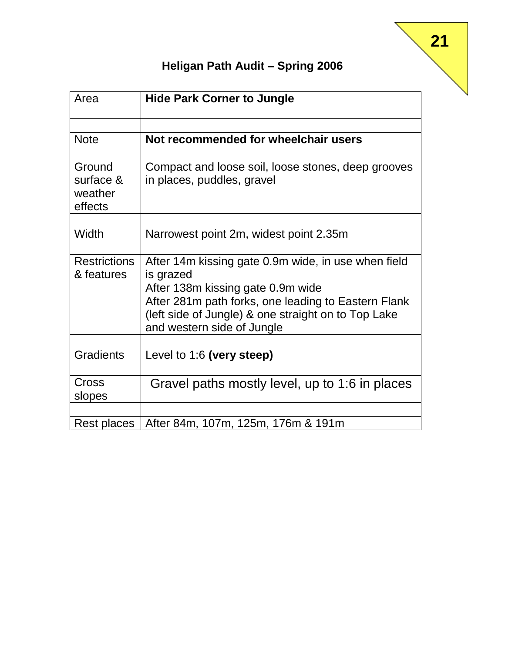| Area                                      | <b>Hide Park Corner to Jungle</b>                                                                                                                                                                                                                 |
|-------------------------------------------|---------------------------------------------------------------------------------------------------------------------------------------------------------------------------------------------------------------------------------------------------|
|                                           |                                                                                                                                                                                                                                                   |
| <b>Note</b>                               | Not recommended for wheelchair users                                                                                                                                                                                                              |
| Ground<br>surface &<br>weather<br>effects | Compact and loose soil, loose stones, deep grooves<br>in places, puddles, gravel                                                                                                                                                                  |
| Width                                     | Narrowest point 2m, widest point 2.35m                                                                                                                                                                                                            |
| <b>Restrictions</b><br>& features         | After 14m kissing gate 0.9m wide, in use when field<br>is grazed<br>After 138m kissing gate 0.9m wide<br>After 281m path forks, one leading to Eastern Flank<br>(left side of Jungle) & one straight on to Top Lake<br>and western side of Jungle |
| <b>Gradients</b>                          | Level to 1:6 (very steep)                                                                                                                                                                                                                         |
| Cross<br>slopes                           | Gravel paths mostly level, up to 1:6 in places                                                                                                                                                                                                    |
| Rest places                               | After 84m, 107m, 125m, 176m & 191m                                                                                                                                                                                                                |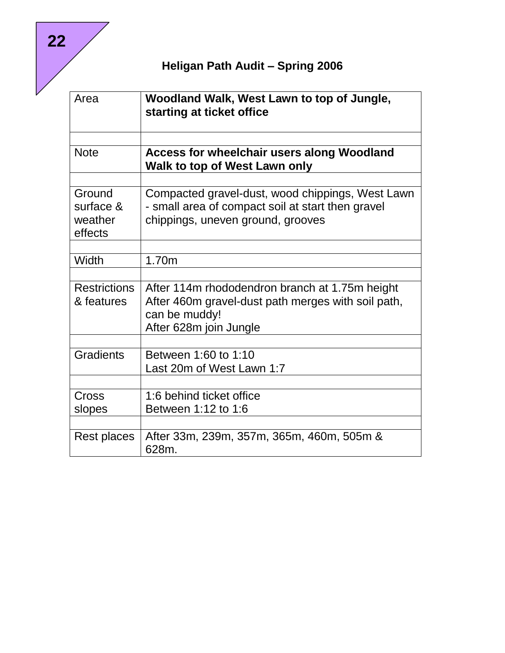| Area                                      | Woodland Walk, West Lawn to top of Jungle,<br>starting at ticket office                                                                    |
|-------------------------------------------|--------------------------------------------------------------------------------------------------------------------------------------------|
|                                           |                                                                                                                                            |
| <b>Note</b>                               | <b>Access for wheelchair users along Woodland</b><br>Walk to top of West Lawn only                                                         |
|                                           |                                                                                                                                            |
| Ground<br>surface &<br>weather<br>effects | Compacted gravel-dust, wood chippings, West Lawn<br>- small area of compact soil at start then gravel<br>chippings, uneven ground, grooves |
|                                           |                                                                                                                                            |
| Width                                     | 1.70 <sub>m</sub>                                                                                                                          |
|                                           |                                                                                                                                            |
| <b>Restrictions</b><br>& features         | After 114m rhododendron branch at 1.75m height<br>After 460m gravel-dust path merges with soil path,<br>can be muddy!                      |
|                                           | After 628m join Jungle                                                                                                                     |
| <b>Gradients</b>                          | Between 1:60 to 1:10<br>Last 20m of West Lawn 1:7                                                                                          |
| Cross                                     | 1:6 behind ticket office                                                                                                                   |
| slopes                                    | Between 1:12 to 1:6                                                                                                                        |
|                                           |                                                                                                                                            |
| Rest places                               | After 33m, 239m, 357m, 365m, 460m, 505m &<br>628m.                                                                                         |

**22**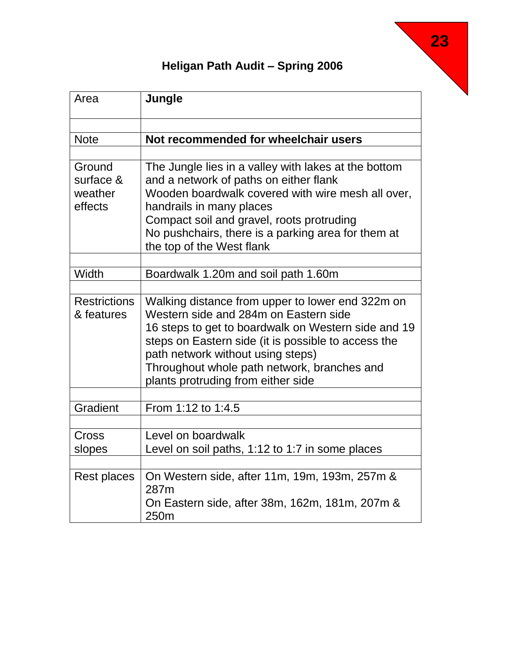| Area                                      | Jungle                                                                                                                                                                                                                                                                                                                            |
|-------------------------------------------|-----------------------------------------------------------------------------------------------------------------------------------------------------------------------------------------------------------------------------------------------------------------------------------------------------------------------------------|
| <b>Note</b>                               | Not recommended for wheelchair users                                                                                                                                                                                                                                                                                              |
|                                           |                                                                                                                                                                                                                                                                                                                                   |
| Ground<br>surface &<br>weather<br>effects | The Jungle lies in a valley with lakes at the bottom<br>and a network of paths on either flank<br>Wooden boardwalk covered with wire mesh all over,<br>handrails in many places<br>Compact soil and gravel, roots protruding<br>No pushchairs, there is a parking area for them at<br>the top of the West flank                   |
| Width                                     | Boardwalk 1.20m and soil path 1.60m                                                                                                                                                                                                                                                                                               |
| <b>Restrictions</b><br>& features         | Walking distance from upper to lower end 322m on<br>Western side and 284m on Eastern side<br>16 steps to get to boardwalk on Western side and 19<br>steps on Eastern side (it is possible to access the<br>path network without using steps)<br>Throughout whole path network, branches and<br>plants protruding from either side |
| Gradient                                  | From 1:12 to 1:4.5                                                                                                                                                                                                                                                                                                                |
| Cross<br>slopes                           | Level on boardwalk<br>Level on soil paths, 1:12 to 1:7 in some places                                                                                                                                                                                                                                                             |
| Rest places                               | On Western side, after 11m, 19m, 193m, 257m &<br>287m<br>On Eastern side, after 38m, 162m, 181m, 207m &<br>250m                                                                                                                                                                                                                   |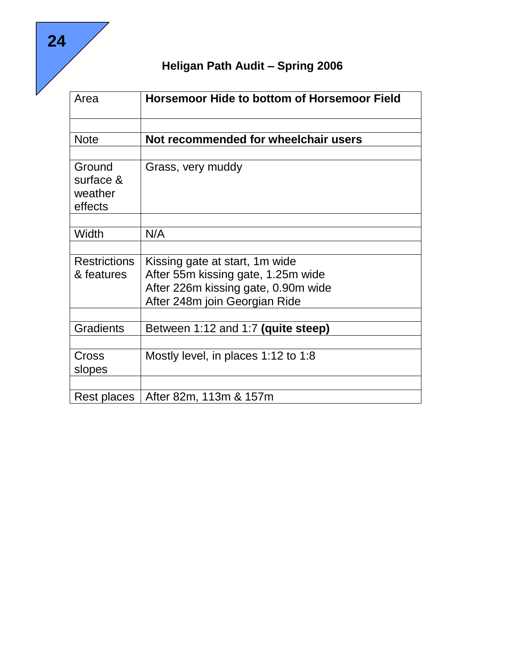| Area                                      | <b>Horsemoor Hide to bottom of Horsemoor Field</b> |
|-------------------------------------------|----------------------------------------------------|
| <b>Note</b>                               | Not recommended for wheelchair users               |
|                                           |                                                    |
| Ground<br>surface &<br>weather<br>effects | Grass, very muddy                                  |
| Width                                     | N/A                                                |
|                                           |                                                    |
| <b>Restrictions</b>                       | Kissing gate at start, 1 m wide                    |
| & features                                | After 55m kissing gate, 1.25m wide                 |
|                                           | After 226m kissing gate, 0.90m wide                |
|                                           | After 248m join Georgian Ride                      |
| <b>Gradients</b>                          | Between 1:12 and 1:7 (quite steep)                 |
| Cross<br>slopes                           | Mostly level, in places 1:12 to 1:8                |
|                                           |                                                    |
| Rest places                               | After 82m, 113m & 157m                             |

**24**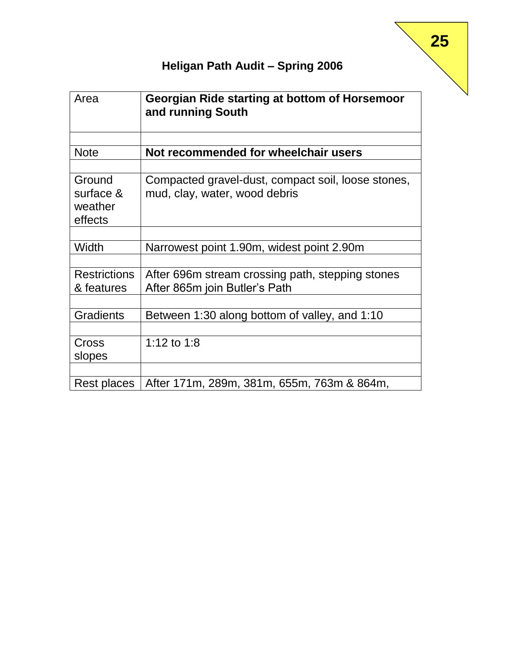| Area                                      | Georgian Ride starting at bottom of Horsemoor<br>and running South                  |
|-------------------------------------------|-------------------------------------------------------------------------------------|
| <b>Note</b>                               | Not recommended for wheelchair users                                                |
| Ground<br>surface &<br>weather<br>effects | Compacted gravel-dust, compact soil, loose stones,<br>mud, clay, water, wood debris |
| Width                                     | Narrowest point 1.90m, widest point 2.90m                                           |
| <b>Restrictions</b><br>& features         | After 696m stream crossing path, stepping stones<br>After 865m join Butler's Path   |
| <b>Gradients</b>                          | Between 1:30 along bottom of valley, and 1:10                                       |
| Cross<br>slopes                           | 1:12 to 1:8                                                                         |
| Rest places                               | After 171m, 289m, 381m, 655m, 763m & 864m,                                          |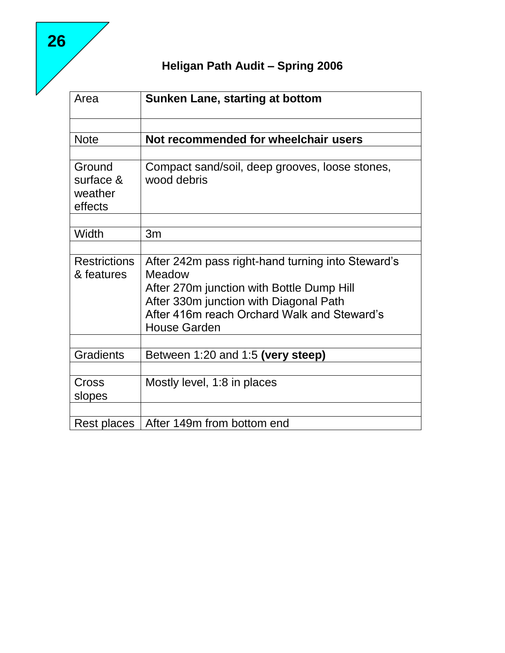| Area                                      | <b>Sunken Lane, starting at bottom</b>                                                                                                                                                                                   |
|-------------------------------------------|--------------------------------------------------------------------------------------------------------------------------------------------------------------------------------------------------------------------------|
|                                           |                                                                                                                                                                                                                          |
| <b>Note</b>                               | Not recommended for wheelchair users                                                                                                                                                                                     |
| Ground<br>surface &<br>weather<br>effects | Compact sand/soil, deep grooves, loose stones,<br>wood debris                                                                                                                                                            |
| Width                                     | 3m                                                                                                                                                                                                                       |
| <b>Restrictions</b><br>& features         | After 242m pass right-hand turning into Steward's<br>Meadow<br>After 270m junction with Bottle Dump Hill<br>After 330m junction with Diagonal Path<br>After 416m reach Orchard Walk and Steward's<br><b>House Garden</b> |
| <b>Gradients</b>                          | Between 1:20 and 1:5 (very steep)                                                                                                                                                                                        |
| Cross<br>slopes                           | Mostly level, 1:8 in places                                                                                                                                                                                              |
| Rest places                               | After 149m from bottom end                                                                                                                                                                                               |

**26**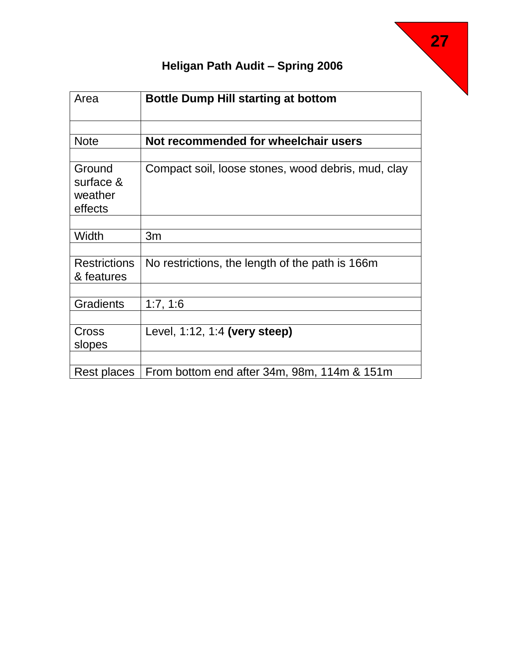| Area                                      | <b>Bottle Dump Hill starting at bottom</b>         |
|-------------------------------------------|----------------------------------------------------|
|                                           |                                                    |
| <b>Note</b>                               | Not recommended for wheelchair users               |
|                                           |                                                    |
| Ground<br>surface &<br>weather<br>effects | Compact soil, loose stones, wood debris, mud, clay |
|                                           |                                                    |
| Width                                     | 3m                                                 |
|                                           |                                                    |
| <b>Restrictions</b><br>& features         | No restrictions, the length of the path is 166m    |
|                                           |                                                    |
| <b>Gradients</b>                          | 1:7, 1:6                                           |
|                                           |                                                    |
| Cross                                     | Level, 1:12, 1:4 (very steep)                      |
| slopes                                    |                                                    |
|                                           |                                                    |
| Rest places                               | From bottom end after 34m, 98m, 114m & 151m        |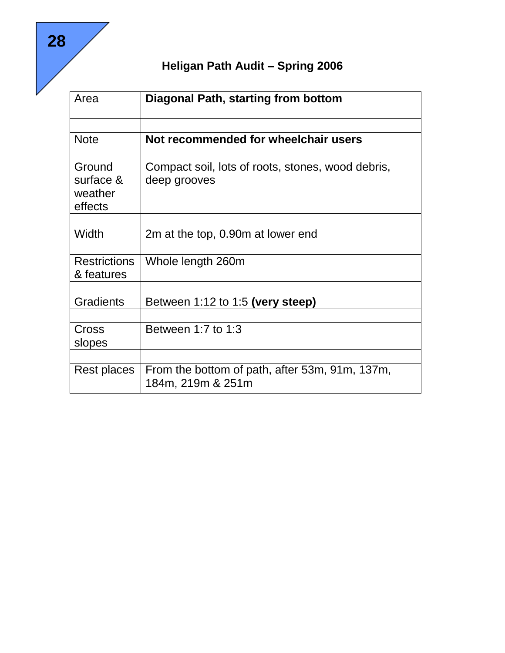| Area                | Diagonal Path, starting from bottom                                 |
|---------------------|---------------------------------------------------------------------|
| <b>Note</b>         | Not recommended for wheelchair users                                |
|                     |                                                                     |
| Ground              | Compact soil, lots of roots, stones, wood debris,                   |
| surface &           | deep grooves                                                        |
| weather             |                                                                     |
| effects             |                                                                     |
|                     |                                                                     |
| Width               | 2m at the top, 0.90m at lower end                                   |
|                     |                                                                     |
| <b>Restrictions</b> | Whole length 260m                                                   |
| & features          |                                                                     |
|                     |                                                                     |
| <b>Gradients</b>    | Between 1:12 to 1:5 (very steep)                                    |
|                     |                                                                     |
| Cross               | Between 1:7 to $1:3$                                                |
| slopes              |                                                                     |
|                     |                                                                     |
| Rest places         | From the bottom of path, after 53m, 91m, 137m,<br>184m, 219m & 251m |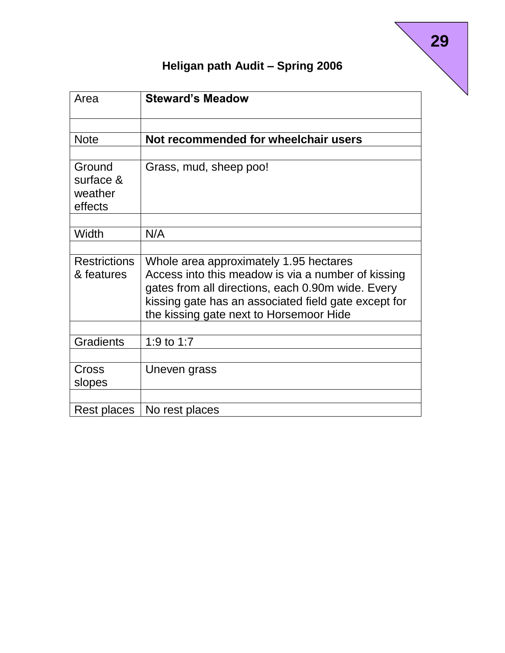| Area                                      | <b>Steward's Meadow</b>                                                                                                                                                                                                                              |
|-------------------------------------------|------------------------------------------------------------------------------------------------------------------------------------------------------------------------------------------------------------------------------------------------------|
| <b>Note</b>                               | Not recommended for wheelchair users                                                                                                                                                                                                                 |
| Ground<br>surface &<br>weather<br>effects | Grass, mud, sheep poo!                                                                                                                                                                                                                               |
| Width                                     | N/A                                                                                                                                                                                                                                                  |
| <b>Restrictions</b><br>& features         | Whole area approximately 1.95 hectares<br>Access into this meadow is via a number of kissing<br>gates from all directions, each 0.90m wide. Every<br>kissing gate has an associated field gate except for<br>the kissing gate next to Horsemoor Hide |
| <b>Gradients</b>                          | 1:9 to 1:7                                                                                                                                                                                                                                           |
| Cross<br>slopes                           | Uneven grass                                                                                                                                                                                                                                         |
| Rest places                               | No rest places                                                                                                                                                                                                                                       |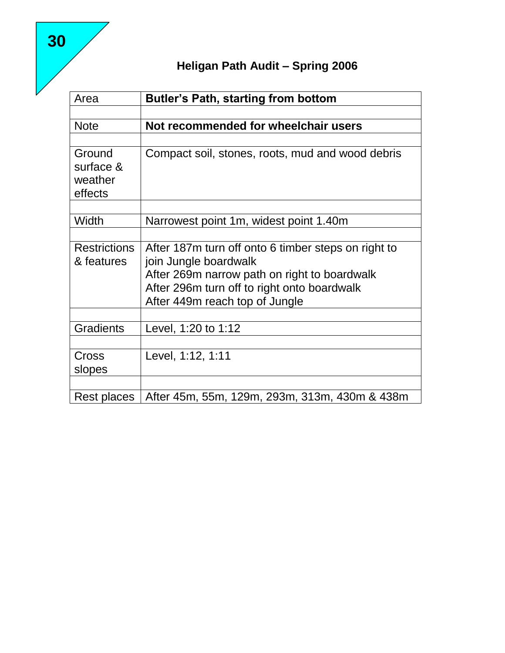| Area                                      | <b>Butler's Path, starting from bottom</b>          |
|-------------------------------------------|-----------------------------------------------------|
|                                           |                                                     |
| <b>Note</b>                               | Not recommended for wheelchair users                |
|                                           |                                                     |
| Ground<br>surface &<br>weather<br>effects | Compact soil, stones, roots, mud and wood debris    |
| Width                                     | Narrowest point 1m, widest point 1.40m              |
|                                           |                                                     |
| <b>Restrictions</b>                       | After 187m turn off onto 6 timber steps on right to |
| & features                                | join Jungle boardwalk                               |
|                                           | After 269m narrow path on right to boardwalk        |
|                                           | After 296m turn off to right onto boardwalk         |
|                                           | After 449m reach top of Jungle                      |
|                                           |                                                     |
| <b>Gradients</b>                          | Level, 1:20 to 1:12                                 |
| Cross                                     | Level, 1:12, 1:11                                   |
| slopes                                    |                                                     |
|                                           |                                                     |
| Rest places                               | After 45m, 55m, 129m, 293m, 313m, 430m & 438m       |

**30**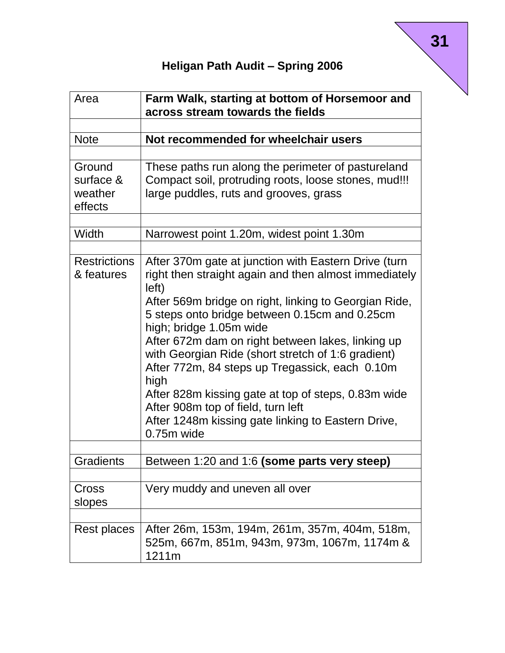| Area                                      | Farm Walk, starting at bottom of Horsemoor and<br>across stream towards the fields                                                                                                                                                                                                                                                                                                                                                                                                                                                                                                                |
|-------------------------------------------|---------------------------------------------------------------------------------------------------------------------------------------------------------------------------------------------------------------------------------------------------------------------------------------------------------------------------------------------------------------------------------------------------------------------------------------------------------------------------------------------------------------------------------------------------------------------------------------------------|
|                                           |                                                                                                                                                                                                                                                                                                                                                                                                                                                                                                                                                                                                   |
| <b>Note</b>                               | Not recommended for wheelchair users                                                                                                                                                                                                                                                                                                                                                                                                                                                                                                                                                              |
|                                           |                                                                                                                                                                                                                                                                                                                                                                                                                                                                                                                                                                                                   |
| Ground<br>surface &<br>weather<br>effects | These paths run along the perimeter of pastureland<br>Compact soil, protruding roots, loose stones, mud!!!<br>large puddles, ruts and grooves, grass                                                                                                                                                                                                                                                                                                                                                                                                                                              |
| Width                                     | Narrowest point 1.20m, widest point 1.30m                                                                                                                                                                                                                                                                                                                                                                                                                                                                                                                                                         |
| <b>Restrictions</b><br>& features         | After 370m gate at junction with Eastern Drive (turn<br>right then straight again and then almost immediately<br>left)<br>After 569m bridge on right, linking to Georgian Ride,<br>5 steps onto bridge between 0.15cm and 0.25cm<br>high; bridge 1.05m wide<br>After 672m dam on right between lakes, linking up<br>with Georgian Ride (short stretch of 1:6 gradient)<br>After 772m, 84 steps up Tregassick, each 0.10m<br>high<br>After 828m kissing gate at top of steps, 0.83m wide<br>After 908m top of field, turn left<br>After 1248m kissing gate linking to Eastern Drive,<br>0.75m wide |
| Gradients                                 | Between 1:20 and 1:6 (some parts very steep)                                                                                                                                                                                                                                                                                                                                                                                                                                                                                                                                                      |
| Cross<br>slopes                           | Very muddy and uneven all over                                                                                                                                                                                                                                                                                                                                                                                                                                                                                                                                                                    |
| Rest places                               | After 26m, 153m, 194m, 261m, 357m, 404m, 518m,<br>525m, 667m, 851m, 943m, 973m, 1067m, 1174m &<br>1211m                                                                                                                                                                                                                                                                                                                                                                                                                                                                                           |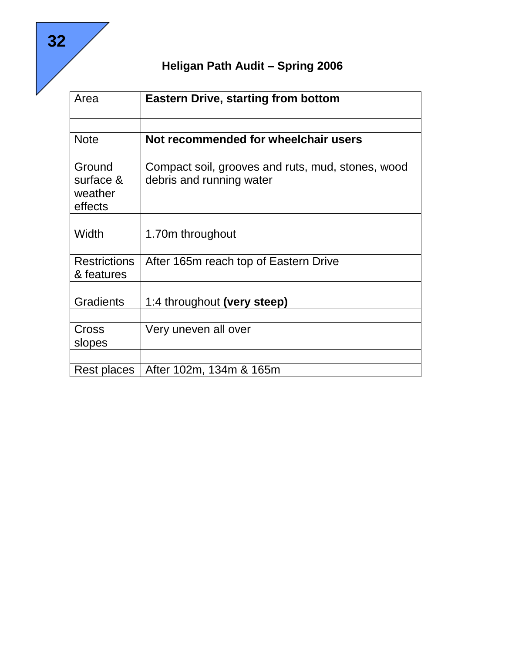| Area                                      | <b>Eastern Drive, starting from bottom</b>                                    |
|-------------------------------------------|-------------------------------------------------------------------------------|
|                                           |                                                                               |
| <b>Note</b>                               | Not recommended for wheelchair users                                          |
|                                           |                                                                               |
| Ground<br>surface &<br>weather<br>effects | Compact soil, grooves and ruts, mud, stones, wood<br>debris and running water |
|                                           |                                                                               |
| Width                                     | 1.70m throughout                                                              |
| <b>Restrictions</b><br>& features         | After 165m reach top of Eastern Drive                                         |
| <b>Gradients</b>                          | 1:4 throughout (very steep)                                                   |
|                                           |                                                                               |
| Cross<br>slopes                           | Very uneven all over                                                          |
|                                           |                                                                               |
| Rest places                               | After 102m, 134m & 165m                                                       |

**32**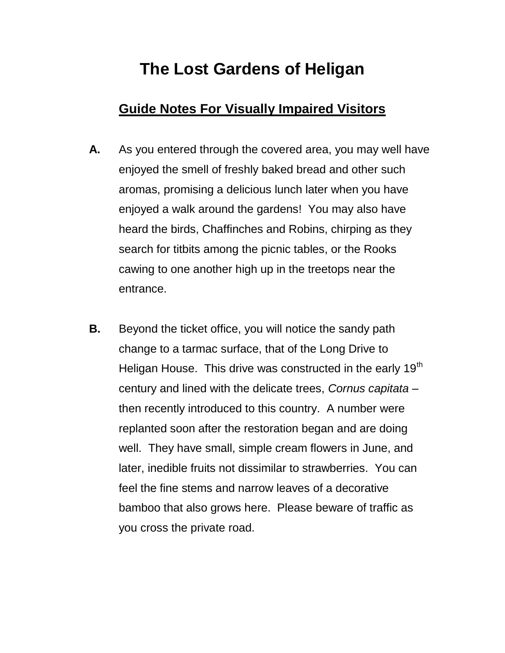# **The Lost Gardens of Heligan**

#### **Guide Notes For Visually Impaired Visitors**

- **A.** As you entered through the covered area, you may well have enjoyed the smell of freshly baked bread and other such aromas, promising a delicious lunch later when you have enjoyed a walk around the gardens! You may also have heard the birds, Chaffinches and Robins, chirping as they search for titbits among the picnic tables, or the Rooks cawing to one another high up in the treetops near the entrance.
- **B.** Beyond the ticket office, you will notice the sandy path change to a tarmac surface, that of the Long Drive to Heligan House. This drive was constructed in the early 19<sup>th</sup> century and lined with the delicate trees, *Cornus capitata* – then recently introduced to this country. A number were replanted soon after the restoration began and are doing well. They have small, simple cream flowers in June, and later, inedible fruits not dissimilar to strawberries. You can feel the fine stems and narrow leaves of a decorative bamboo that also grows here. Please beware of traffic as you cross the private road.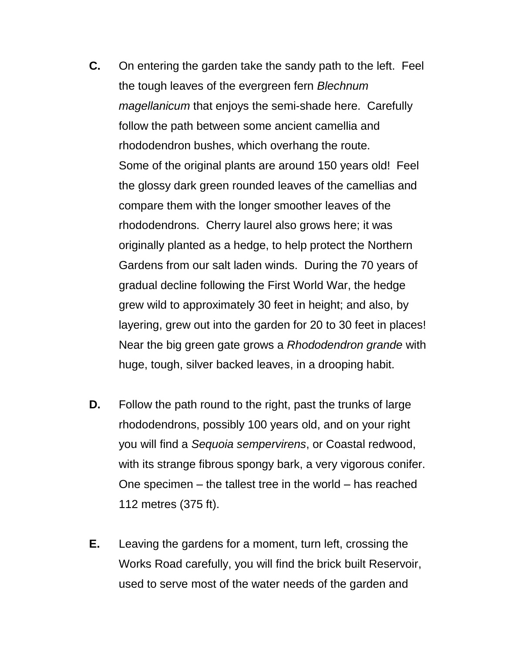- **C.** On entering the garden take the sandy path to the left. Feel the tough leaves of the evergreen fern *Blechnum magellanicum* that enjoys the semi-shade here. Carefully follow the path between some ancient camellia and rhododendron bushes, which overhang the route. Some of the original plants are around 150 years old! Feel the glossy dark green rounded leaves of the camellias and compare them with the longer smoother leaves of the rhododendrons. Cherry laurel also grows here; it was originally planted as a hedge, to help protect the Northern Gardens from our salt laden winds. During the 70 years of gradual decline following the First World War, the hedge grew wild to approximately 30 feet in height; and also, by layering, grew out into the garden for 20 to 30 feet in places! Near the big green gate grows a *Rhododendron grande* with huge, tough, silver backed leaves, in a drooping habit.
- **D.** Follow the path round to the right, past the trunks of large rhododendrons, possibly 100 years old, and on your right you will find a *Sequoia sempervirens*, or Coastal redwood, with its strange fibrous spongy bark, a very vigorous conifer. One specimen – the tallest tree in the world – has reached 112 metres (375 ft).
- **E.** Leaving the gardens for a moment, turn left, crossing the Works Road carefully, you will find the brick built Reservoir, used to serve most of the water needs of the garden and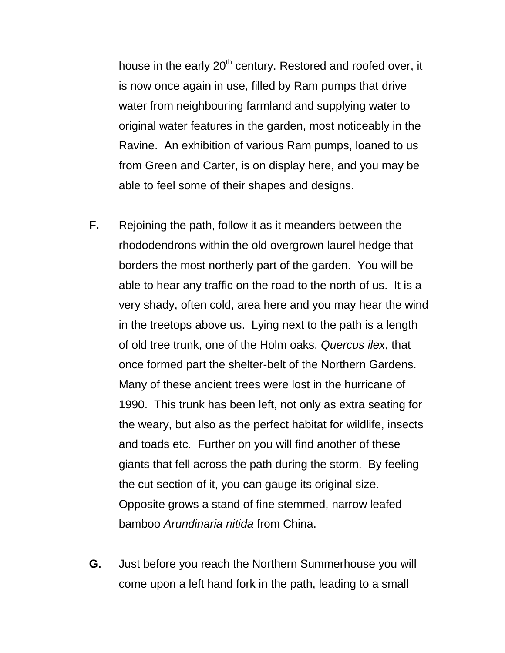house in the early  $20<sup>th</sup>$  century. Restored and roofed over, it is now once again in use, filled by Ram pumps that drive water from neighbouring farmland and supplying water to original water features in the garden, most noticeably in the Ravine. An exhibition of various Ram pumps, loaned to us from Green and Carter, is on display here, and you may be able to feel some of their shapes and designs.

- **F.** Rejoining the path, follow it as it meanders between the rhododendrons within the old overgrown laurel hedge that borders the most northerly part of the garden. You will be able to hear any traffic on the road to the north of us. It is a very shady, often cold, area here and you may hear the wind in the treetops above us. Lying next to the path is a length of old tree trunk, one of the Holm oaks, *Quercus ilex*, that once formed part the shelter-belt of the Northern Gardens. Many of these ancient trees were lost in the hurricane of 1990. This trunk has been left, not only as extra seating for the weary, but also as the perfect habitat for wildlife, insects and toads etc. Further on you will find another of these giants that fell across the path during the storm. By feeling the cut section of it, you can gauge its original size. Opposite grows a stand of fine stemmed, narrow leafed bamboo *Arundinaria nitida* from China.
- **G.** Just before you reach the Northern Summerhouse you will come upon a left hand fork in the path, leading to a small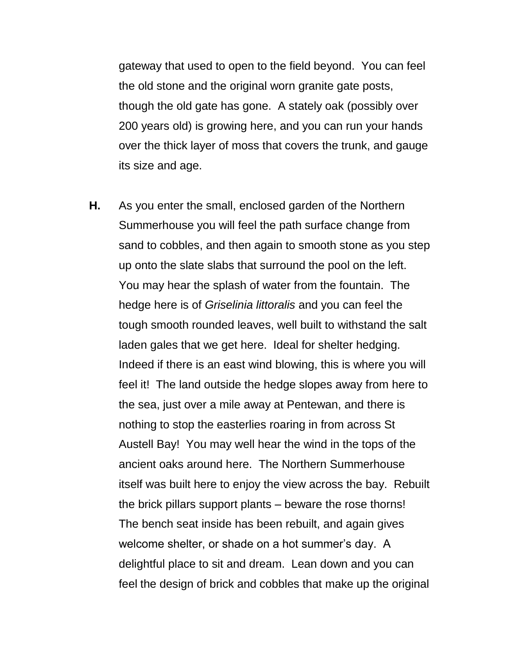gateway that used to open to the field beyond. You can feel the old stone and the original worn granite gate posts, though the old gate has gone. A stately oak (possibly over 200 years old) is growing here, and you can run your hands over the thick layer of moss that covers the trunk, and gauge its size and age.

**H.** As you enter the small, enclosed garden of the Northern Summerhouse you will feel the path surface change from sand to cobbles, and then again to smooth stone as you step up onto the slate slabs that surround the pool on the left. You may hear the splash of water from the fountain. The hedge here is of *Griselinia littoralis* and you can feel the tough smooth rounded leaves, well built to withstand the salt laden gales that we get here. Ideal for shelter hedging. Indeed if there is an east wind blowing, this is where you will feel it! The land outside the hedge slopes away from here to the sea, just over a mile away at Pentewan, and there is nothing to stop the easterlies roaring in from across St Austell Bay! You may well hear the wind in the tops of the ancient oaks around here. The Northern Summerhouse itself was built here to enjoy the view across the bay. Rebuilt the brick pillars support plants – beware the rose thorns! The bench seat inside has been rebuilt, and again gives welcome shelter, or shade on a hot summer's day. A delightful place to sit and dream. Lean down and you can feel the design of brick and cobbles that make up the original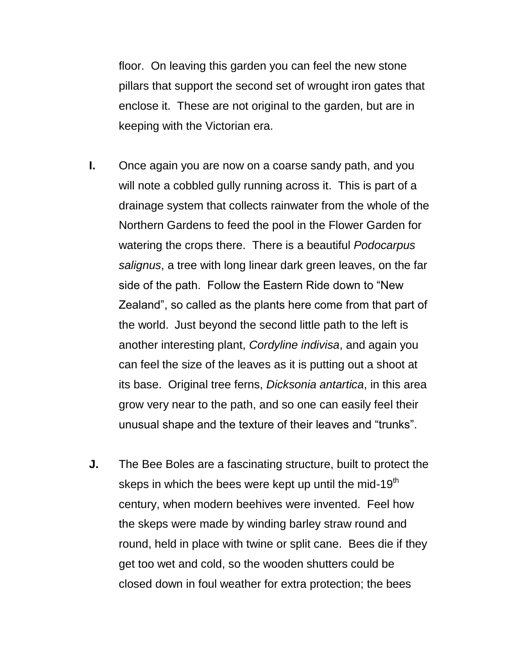floor. On leaving this garden you can feel the new stone pillars that support the second set of wrought iron gates that enclose it. These are not original to the garden, but are in keeping with the Victorian era.

- **I.** Once again you are now on a coarse sandy path, and you will note a cobbled gully running across it. This is part of a drainage system that collects rainwater from the whole of the Northern Gardens to feed the pool in the Flower Garden for watering the crops there. There is a beautiful *Podocarpus salignus*, a tree with long linear dark green leaves, on the far side of the path. Follow the Eastern Ride down to "New Zealand", so called as the plants here come from that part of the world. Just beyond the second little path to the left is another interesting plant, *Cordyline indivisa*, and again you can feel the size of the leaves as it is putting out a shoot at its base. Original tree ferns, *Dicksonia antartica*, in this area grow very near to the path, and so one can easily feel their unusual shape and the texture of their leaves and "trunks".
- **J.** The Bee Boles are a fascinating structure, built to protect the skeps in which the bees were kept up until the mid-19<sup>th</sup> century, when modern beehives were invented. Feel how the skeps were made by winding barley straw round and round, held in place with twine or split cane. Bees die if they get too wet and cold, so the wooden shutters could be closed down in foul weather for extra protection; the bees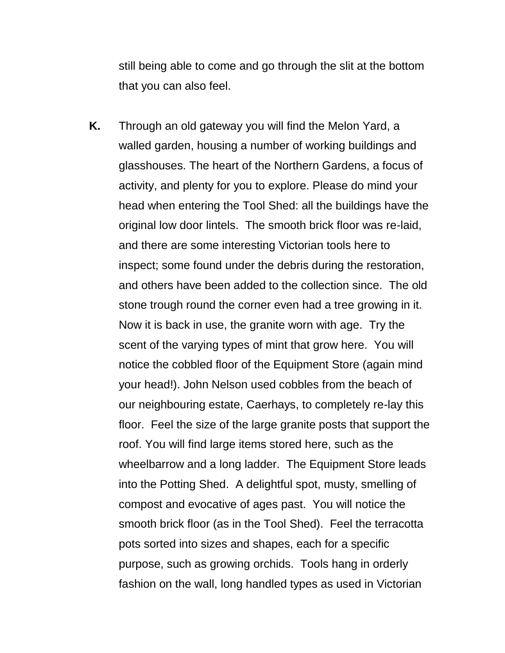still being able to come and go through the slit at the bottom that you can also feel.

**K.** Through an old gateway you will find the Melon Yard, a walled garden, housing a number of working buildings and glasshouses. The heart of the Northern Gardens, a focus of activity, and plenty for you to explore. Please do mind your head when entering the Tool Shed: all the buildings have the original low door lintels. The smooth brick floor was re-laid, and there are some interesting Victorian tools here to inspect; some found under the debris during the restoration, and others have been added to the collection since. The old stone trough round the corner even had a tree growing in it. Now it is back in use, the granite worn with age. Try the scent of the varying types of mint that grow here. You will notice the cobbled floor of the Equipment Store (again mind your head!). John Nelson used cobbles from the beach of our neighbouring estate, Caerhays, to completely re-lay this floor. Feel the size of the large granite posts that support the roof. You will find large items stored here, such as the wheelbarrow and a long ladder. The Equipment Store leads into the Potting Shed. A delightful spot, musty, smelling of compost and evocative of ages past. You will notice the smooth brick floor (as in the Tool Shed). Feel the terracotta pots sorted into sizes and shapes, each for a specific purpose, such as growing orchids. Tools hang in orderly fashion on the wall, long handled types as used in Victorian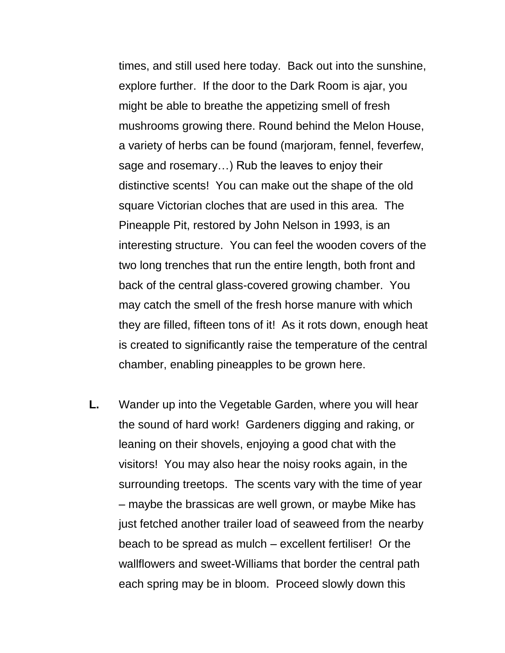times, and still used here today. Back out into the sunshine, explore further. If the door to the Dark Room is ajar, you might be able to breathe the appetizing smell of fresh mushrooms growing there. Round behind the Melon House, a variety of herbs can be found (marjoram, fennel, feverfew, sage and rosemary…) Rub the leaves to enjoy their distinctive scents! You can make out the shape of the old square Victorian cloches that are used in this area. The Pineapple Pit, restored by John Nelson in 1993, is an interesting structure. You can feel the wooden covers of the two long trenches that run the entire length, both front and back of the central glass-covered growing chamber. You may catch the smell of the fresh horse manure with which they are filled, fifteen tons of it! As it rots down, enough heat is created to significantly raise the temperature of the central chamber, enabling pineapples to be grown here.

**L.** Wander up into the Vegetable Garden, where you will hear the sound of hard work! Gardeners digging and raking, or leaning on their shovels, enjoying a good chat with the visitors! You may also hear the noisy rooks again, in the surrounding treetops. The scents vary with the time of year – maybe the brassicas are well grown, or maybe Mike has just fetched another trailer load of seaweed from the nearby beach to be spread as mulch – excellent fertiliser! Or the wallflowers and sweet-Williams that border the central path each spring may be in bloom. Proceed slowly down this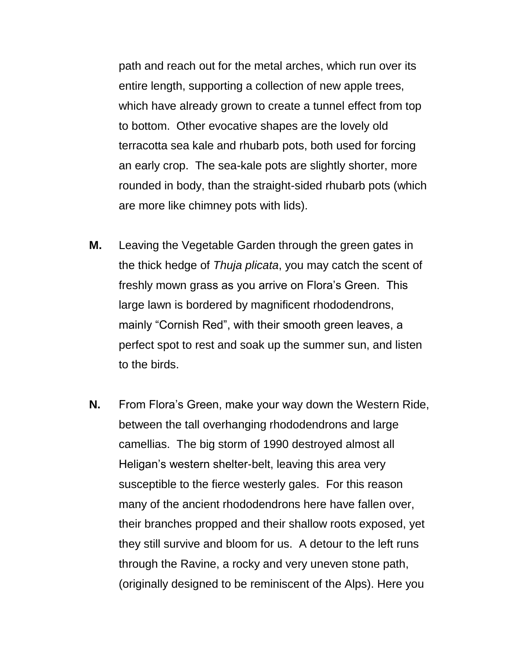path and reach out for the metal arches, which run over its entire length, supporting a collection of new apple trees, which have already grown to create a tunnel effect from top to bottom. Other evocative shapes are the lovely old terracotta sea kale and rhubarb pots, both used for forcing an early crop. The sea-kale pots are slightly shorter, more rounded in body, than the straight-sided rhubarb pots (which are more like chimney pots with lids).

- **M.** Leaving the Vegetable Garden through the green gates in the thick hedge of *Thuja plicata*, you may catch the scent of freshly mown grass as you arrive on Flora's Green. This large lawn is bordered by magnificent rhododendrons, mainly "Cornish Red", with their smooth green leaves, a perfect spot to rest and soak up the summer sun, and listen to the birds.
- **N.** From Flora's Green, make your way down the Western Ride, between the tall overhanging rhododendrons and large camellias. The big storm of 1990 destroyed almost all Heligan's western shelter-belt, leaving this area very susceptible to the fierce westerly gales. For this reason many of the ancient rhododendrons here have fallen over, their branches propped and their shallow roots exposed, yet they still survive and bloom for us. A detour to the left runs through the Ravine, a rocky and very uneven stone path, (originally designed to be reminiscent of the Alps). Here you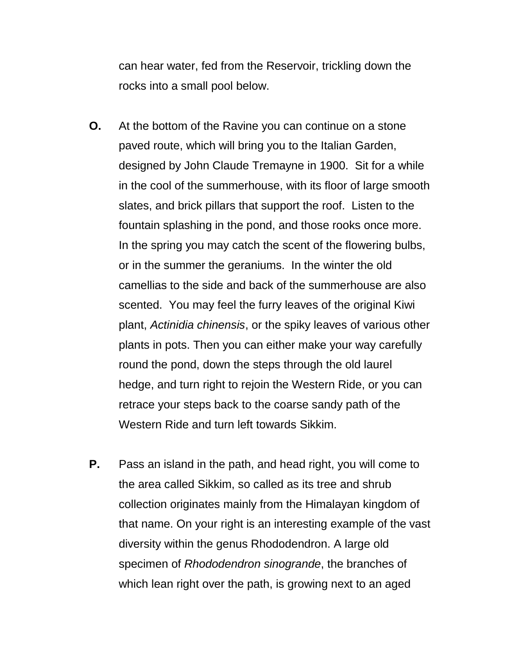can hear water, fed from the Reservoir, trickling down the rocks into a small pool below.

- **O.** At the bottom of the Ravine you can continue on a stone paved route, which will bring you to the Italian Garden, designed by John Claude Tremayne in 1900. Sit for a while in the cool of the summerhouse, with its floor of large smooth slates, and brick pillars that support the roof. Listen to the fountain splashing in the pond, and those rooks once more. In the spring you may catch the scent of the flowering bulbs, or in the summer the geraniums. In the winter the old camellias to the side and back of the summerhouse are also scented. You may feel the furry leaves of the original Kiwi plant, *Actinidia chinensis*, or the spiky leaves of various other plants in pots. Then you can either make your way carefully round the pond, down the steps through the old laurel hedge, and turn right to rejoin the Western Ride, or you can retrace your steps back to the coarse sandy path of the Western Ride and turn left towards Sikkim.
- **P.** Pass an island in the path, and head right, you will come to the area called Sikkim, so called as its tree and shrub collection originates mainly from the Himalayan kingdom of that name. On your right is an interesting example of the vast diversity within the genus Rhododendron. A large old specimen of *Rhododendron sinogrande*, the branches of which lean right over the path, is growing next to an aged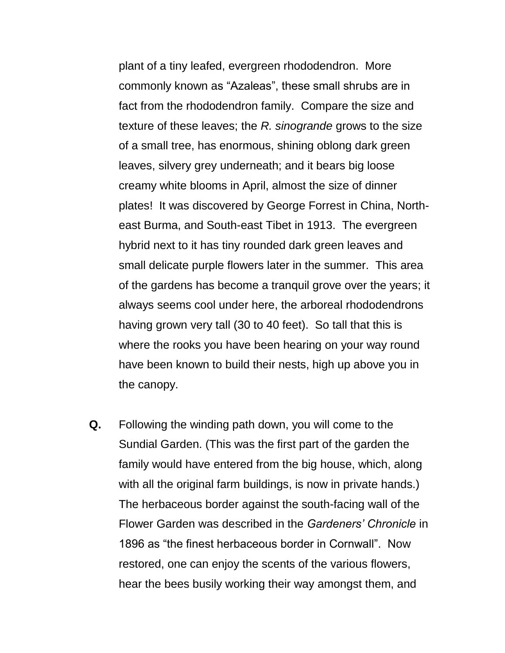plant of a tiny leafed, evergreen rhododendron. More commonly known as "Azaleas", these small shrubs are in fact from the rhododendron family. Compare the size and texture of these leaves; the *R. sinogrande* grows to the size of a small tree, has enormous, shining oblong dark green leaves, silvery grey underneath; and it bears big loose creamy white blooms in April, almost the size of dinner plates! It was discovered by George Forrest in China, Northeast Burma, and South-east Tibet in 1913. The evergreen hybrid next to it has tiny rounded dark green leaves and small delicate purple flowers later in the summer. This area of the gardens has become a tranquil grove over the years; it always seems cool under here, the arboreal rhododendrons having grown very tall (30 to 40 feet). So tall that this is where the rooks you have been hearing on your way round have been known to build their nests, high up above you in the canopy.

**Q.** Following the winding path down, you will come to the Sundial Garden. (This was the first part of the garden the family would have entered from the big house, which, along with all the original farm buildings, is now in private hands.) The herbaceous border against the south-facing wall of the Flower Garden was described in the *Gardeners' Chronicle* in 1896 as "the finest herbaceous border in Cornwall". Now restored, one can enjoy the scents of the various flowers, hear the bees busily working their way amongst them, and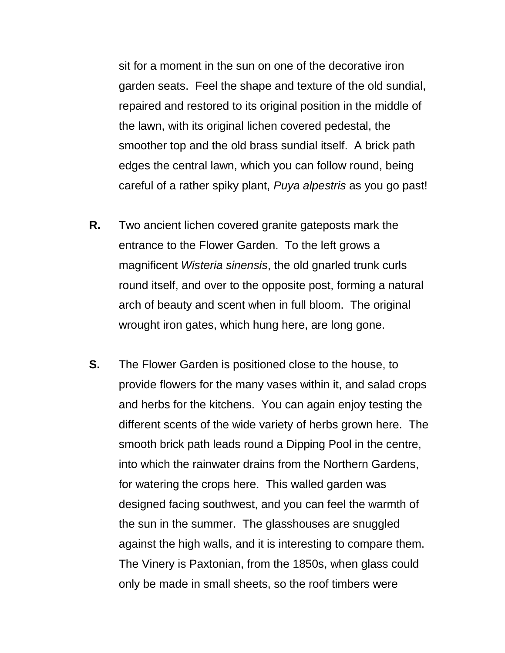sit for a moment in the sun on one of the decorative iron garden seats. Feel the shape and texture of the old sundial, repaired and restored to its original position in the middle of the lawn, with its original lichen covered pedestal, the smoother top and the old brass sundial itself. A brick path edges the central lawn, which you can follow round, being careful of a rather spiky plant, *Puya alpestris* as you go past!

- **R.** Two ancient lichen covered granite gateposts mark the entrance to the Flower Garden. To the left grows a magnificent *Wisteria sinensis*, the old gnarled trunk curls round itself, and over to the opposite post, forming a natural arch of beauty and scent when in full bloom. The original wrought iron gates, which hung here, are long gone.
- **S.** The Flower Garden is positioned close to the house, to provide flowers for the many vases within it, and salad crops and herbs for the kitchens. You can again enjoy testing the different scents of the wide variety of herbs grown here. The smooth brick path leads round a Dipping Pool in the centre, into which the rainwater drains from the Northern Gardens, for watering the crops here. This walled garden was designed facing southwest, and you can feel the warmth of the sun in the summer. The glasshouses are snuggled against the high walls, and it is interesting to compare them. The Vinery is Paxtonian, from the 1850s, when glass could only be made in small sheets, so the roof timbers were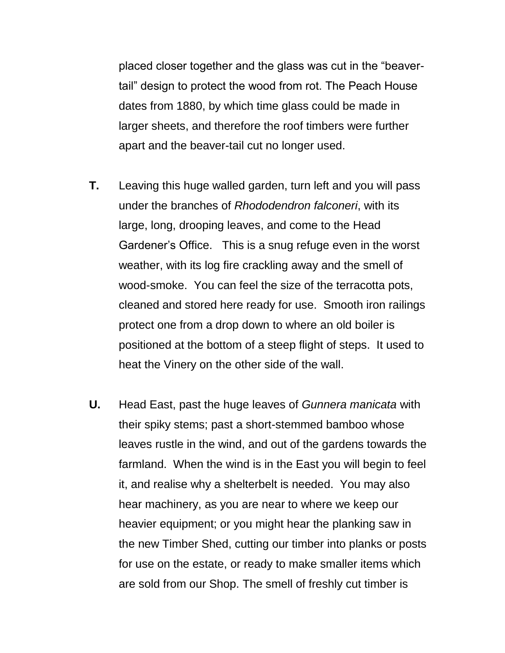placed closer together and the glass was cut in the "beavertail" design to protect the wood from rot. The Peach House dates from 1880, by which time glass could be made in larger sheets, and therefore the roof timbers were further apart and the beaver-tail cut no longer used.

- **T.** Leaving this huge walled garden, turn left and you will pass under the branches of *Rhododendron falconeri*, with its large, long, drooping leaves, and come to the Head Gardener's Office. This is a snug refuge even in the worst weather, with its log fire crackling away and the smell of wood-smoke. You can feel the size of the terracotta pots, cleaned and stored here ready for use. Smooth iron railings protect one from a drop down to where an old boiler is positioned at the bottom of a steep flight of steps. It used to heat the Vinery on the other side of the wall.
- **U.** Head East, past the huge leaves of *Gunnera manicata* with their spiky stems; past a short-stemmed bamboo whose leaves rustle in the wind, and out of the gardens towards the farmland. When the wind is in the East you will begin to feel it, and realise why a shelterbelt is needed. You may also hear machinery, as you are near to where we keep our heavier equipment; or you might hear the planking saw in the new Timber Shed, cutting our timber into planks or posts for use on the estate, or ready to make smaller items which are sold from our Shop. The smell of freshly cut timber is